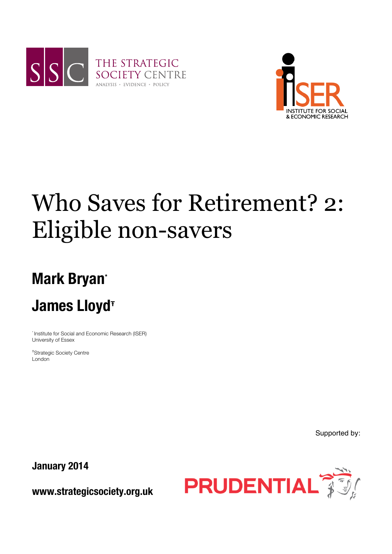



# Who Saves for Retirement? 2: Eligible non-savers

## **Mark Bryan\***

### **James Lloyd<sup>Ŧ</sup>**

\* Institute for Social and Economic Research (ISER) University of Essex

Ŧ Strategic Society Centre London

Supported by:

**January 2014**

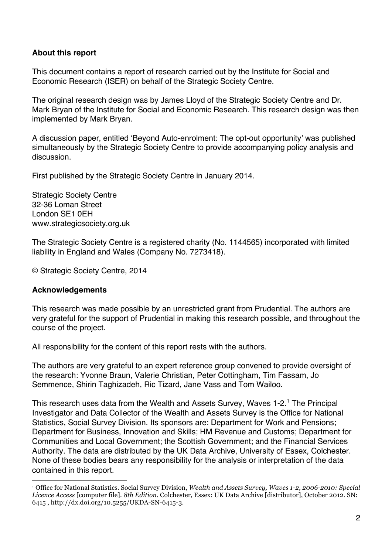#### **About this report**

This document contains a report of research carried out by the Institute for Social and Economic Research (ISER) on behalf of the Strategic Society Centre.

The original research design was by James Lloyd of the Strategic Society Centre and Dr. Mark Bryan of the Institute for Social and Economic Research. This research design was then implemented by Mark Bryan.

A discussion paper, entitled 'Beyond Auto-enrolment: The opt-out opportunity' was published simultaneously by the Strategic Society Centre to provide accompanying policy analysis and discussion.

First published by the Strategic Society Centre in January 2014.

Strategic Society Centre 32-36 Loman Street London SE1 0EH www.strategicsociety.org.uk

The Strategic Society Centre is a registered charity (No. 1144565) incorporated with limited liability in England and Wales (Company No. 7273418).

© Strategic Society Centre, 2014

#### **Acknowledgements**

!!!!!!!!!!!!!!!!!!!!!!!!!!!!!!!!!!!!!!!!!!!!!!!!!!!!!!!!!!!!

This research was made possible by an unrestricted grant from Prudential. The authors are very grateful for the support of Prudential in making this research possible, and throughout the course of the project.

All responsibility for the content of this report rests with the authors.

The authors are very grateful to an expert reference group convened to provide oversight of the research: Yvonne Braun, Valerie Christian, Peter Cottingham, Tim Fassam, Jo Semmence, Shirin Taghizadeh, Ric Tizard, Jane Vass and Tom Wailoo.

This research uses data from the Wealth and Assets Survey, Waves 1-2.<sup>1</sup> The Principal Investigator and Data Collector of the Wealth and Assets Survey is the Office for National Statistics, Social Survey Division. Its sponsors are: Department for Work and Pensions; Department for Business, Innovation and Skills; HM Revenue and Customs; Department for Communities and Local Government; the Scottish Government; and the Financial Services Authority. The data are distributed by the UK Data Archive, University of Essex, Colchester. None of these bodies bears any responsibility for the analysis or interpretation of the data contained in this report.

<sup>1</sup> Office for National Statistics. Social Survey Division, *Wealth and Assets Survey, Waves 1-2, 2006-2010: Special Licence Access* [computer file]. *8th Edition*. Colchester, Essex: UK Data Archive [distributor], October 2012. SN: 6415 , http://dx.doi.org/10.5255/UKDA-SN-6415-3.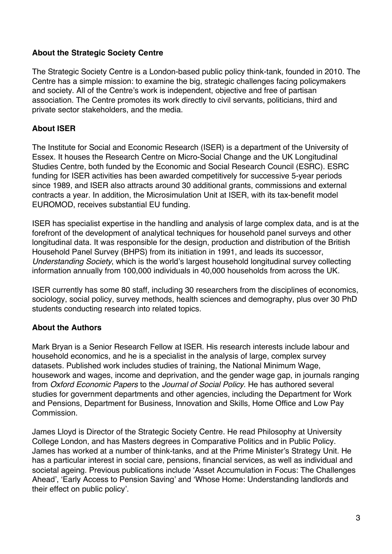#### **About the Strategic Society Centre**

The Strategic Society Centre is a London-based public policy think-tank, founded in 2010. The Centre has a simple mission: to examine the big, strategic challenges facing policymakers and society. All of the Centre's work is independent, objective and free of partisan association. The Centre promotes its work directly to civil servants, politicians, third and private sector stakeholders, and the media.

#### **About ISER**

The Institute for Social and Economic Research (ISER) is a department of the University of Essex. It houses the Research Centre on Micro-Social Change and the UK Longitudinal Studies Centre, both funded by the Economic and Social Research Council (ESRC). ESRC funding for ISER activities has been awarded competitively for successive 5-year periods since 1989, and ISER also attracts around 30 additional grants, commissions and external contracts a year. In addition, the Microsimulation Unit at ISER, with its tax-benefit model EUROMOD, receives substantial EU funding.

ISER has specialist expertise in the handling and analysis of large complex data, and is at the forefront of the development of analytical techniques for household panel surveys and other longitudinal data. It was responsible for the design, production and distribution of the British Household Panel Survey (BHPS) from its initiation in 1991, and leads its successor, *Understanding Society*, which is the world's largest household longitudinal survey collecting information annually from 100,000 individuals in 40,000 households from across the UK.

ISER currently has some 80 staff, including 30 researchers from the disciplines of economics, sociology, social policy, survey methods, health sciences and demography, plus over 30 PhD students conducting research into related topics.

#### **About the Authors**

Mark Bryan is a Senior Research Fellow at ISER. His research interests include labour and household economics, and he is a specialist in the analysis of large, complex survey datasets. Published work includes studies of training, the National Minimum Wage, housework and wages, income and deprivation, and the gender wage gap, in journals ranging from *Oxford Economic Papers* to the *Journal of Social Policy*. He has authored several studies for government departments and other agencies, including the Department for Work and Pensions, Department for Business, Innovation and Skills, Home Office and Low Pay Commission.

James Lloyd is Director of the Strategic Society Centre. He read Philosophy at University College London, and has Masters degrees in Comparative Politics and in Public Policy. James has worked at a number of think-tanks, and at the Prime Minister's Strategy Unit. He has a particular interest in social care, pensions, financial services, as well as individual and societal ageing. Previous publications include 'Asset Accumulation in Focus: The Challenges Ahead', 'Early Access to Pension Saving' and 'Whose Home: Understanding landlords and their effect on public policy'.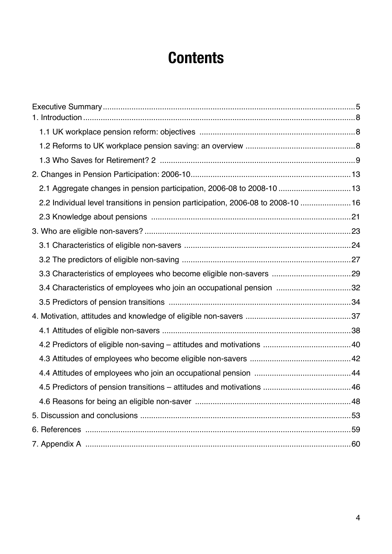### **Contents**

| 2.1 Aggregate changes in pension participation, 2006-08 to 2008-10  13            |  |
|-----------------------------------------------------------------------------------|--|
| 2.2 Individual level transitions in pension participation, 2006-08 to 2008-10  16 |  |
|                                                                                   |  |
|                                                                                   |  |
|                                                                                   |  |
|                                                                                   |  |
|                                                                                   |  |
| 3.4 Characteristics of employees who join an occupational pension 32              |  |
|                                                                                   |  |
|                                                                                   |  |
|                                                                                   |  |
|                                                                                   |  |
|                                                                                   |  |
|                                                                                   |  |
|                                                                                   |  |
|                                                                                   |  |
|                                                                                   |  |
|                                                                                   |  |
|                                                                                   |  |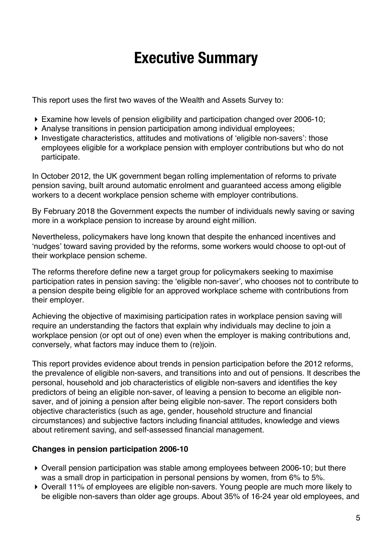### **Executive Summary**

This report uses the first two waves of the Wealth and Assets Survey to:

- ! Examine how levels of pension eligibility and participation changed over 2006-10;
- ! Analyse transitions in pension participation among individual employees;
- ! Investigate characteristics, attitudes and motivations of 'eligible non-savers': those employees eligible for a workplace pension with employer contributions but who do not participate.

In October 2012, the UK government began rolling implementation of reforms to private pension saving, built around automatic enrolment and guaranteed access among eligible workers to a decent workplace pension scheme with employer contributions.

By February 2018 the Government expects the number of individuals newly saving or saving more in a workplace pension to increase by around eight million.

Nevertheless, policymakers have long known that despite the enhanced incentives and 'nudges' toward saving provided by the reforms, some workers would choose to opt-out of their workplace pension scheme.

The reforms therefore define new a target group for policymakers seeking to maximise participation rates in pension saving: the 'eligible non-saver', who chooses not to contribute to a pension despite being eligible for an approved workplace scheme with contributions from their employer.

Achieving the objective of maximising participation rates in workplace pension saving will require an understanding the factors that explain why individuals may decline to join a workplace pension (or opt out of one) even when the employer is making contributions and, conversely, what factors may induce them to (re)join.

This report provides evidence about trends in pension participation before the 2012 reforms, the prevalence of eligible non-savers, and transitions into and out of pensions. It describes the personal, household and job characteristics of eligible non-savers and identifies the key predictors of being an eligible non-saver, of leaving a pension to become an eligible nonsaver, and of joining a pension after being eligible non-saver. The report considers both objective characteristics (such as age, gender, household structure and financial circumstances) and subjective factors including financial attitudes, knowledge and views about retirement saving, and self-assessed financial management.

#### **Changes in pension participation 2006-10**

- ! Overall pension participation was stable among employees between 2006-10; but there was a small drop in participation in personal pensions by women, from 6% to 5%.
- ! Overall 11% of employees are eligible non-savers. Young people are much more likely to be eligible non-savers than older age groups. About 35% of 16-24 year old employees, and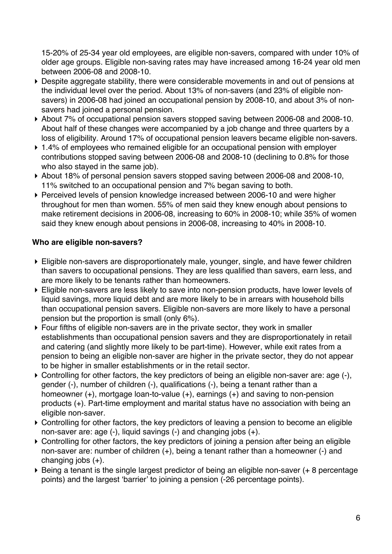15-20% of 25-34 year old employees, are eligible non-savers, compared with under 10% of older age groups. Eligible non-saving rates may have increased among 16-24 year old men between 2006-08 and 2008-10.

- ! Despite aggregate stability, there were considerable movements in and out of pensions at the individual level over the period. About 13% of non-savers (and 23% of eligible nonsavers) in 2006-08 had joined an occupational pension by 2008-10, and about 3% of nonsavers had joined a personal pension.
- ! About 7% of occupational pension savers stopped saving between 2006-08 and 2008-10. About half of these changes were accompanied by a job change and three quarters by a loss of eligibility. Around 17% of occupational pension leavers became eligible non-savers.
- ▶ 1.4% of employees who remained eligible for an occupational pension with employer contributions stopped saving between 2006-08 and 2008-10 (declining to 0.8% for those who also stayed in the same job).
- ! About 18% of personal pension savers stopped saving between 2006-08 and 2008-10, 11% switched to an occupational pension and 7% began saving to both.
- ! Perceived levels of pension knowledge increased between 2006-10 and were higher throughout for men than women. 55% of men said they knew enough about pensions to make retirement decisions in 2006-08, increasing to 60% in 2008-10; while 35% of women said they knew enough about pensions in 2006-08, increasing to 40% in 2008-10.

#### **Who are eligible non-savers?**

- ! Eligible non-savers are disproportionately male, younger, single, and have fewer children than savers to occupational pensions. They are less qualified than savers, earn less, and are more likely to be tenants rather than homeowners.
- ! Eligible non-savers are less likely to save into non-pension products, have lower levels of liquid savings, more liquid debt and are more likely to be in arrears with household bills than occupational pension savers. Eligible non-savers are more likely to have a personal pension but the proportion is small (only 6%).
- ! Four fifths of eligible non-savers are in the private sector, they work in smaller establishments than occupational pension savers and they are disproportionately in retail and catering (and slightly more likely to be part-time). However, while exit rates from a pension to being an eligible non-saver are higher in the private sector, they do not appear to be higher in smaller establishments or in the retail sector.
- ! Controlling for other factors, the key predictors of being an eligible non-saver are: age (-), gender (-), number of children (-), qualifications (-), being a tenant rather than a homeowner (+), mortgage loan-to-value (+), earnings (+) and saving to non-pension products (+). Part-time employment and marital status have no association with being an eligible non-saver.
- ! Controlling for other factors, the key predictors of leaving a pension to become an eligible non-saver are: age (-), liquid savings (-) and changing jobs (+).
- ! Controlling for other factors, the key predictors of joining a pension after being an eligible non-saver are: number of children (+), being a tenant rather than a homeowner (-) and changing jobs  $(+)$ .
- ! Being a tenant is the single largest predictor of being an eligible non-saver (+ 8 percentage points) and the largest 'barrier' to joining a pension (-26 percentage points).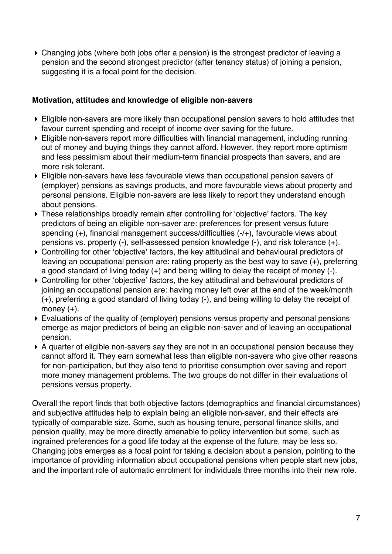! Changing jobs (where both jobs offer a pension) is the strongest predictor of leaving a pension and the second strongest predictor (after tenancy status) of joining a pension, suggesting it is a focal point for the decision.

#### **Motivation, attitudes and knowledge of eligible non-savers**

- ! Eligible non-savers are more likely than occupational pension savers to hold attitudes that favour current spending and receipt of income over saving for the future.
- ! Eligible non-savers report more difficulties with financial management, including running out of money and buying things they cannot afford. However, they report more optimism and less pessimism about their medium-term financial prospects than savers, and are more risk tolerant.
- ! Eligible non-savers have less favourable views than occupational pension savers of (employer) pensions as savings products, and more favourable views about property and personal pensions. Eligible non-savers are less likely to report they understand enough about pensions.
- ! These relationships broadly remain after controlling for 'objective' factors. The key predictors of being an eligible non-saver are: preferences for present versus future spending (+), financial management success/difficulties (-/+), favourable views about pensions vs. property (-), self-assessed pension knowledge (-), and risk tolerance (+).
- ! Controlling for other 'objective' factors, the key attitudinal and behavioural predictors of leaving an occupational pension are: rating property as the best way to save (+), preferring a good standard of living today (+) and being willing to delay the receipt of money (-).
- ! Controlling for other 'objective' factors, the key attitudinal and behavioural predictors of joining an occupational pension are: having money left over at the end of the week/month (+), preferring a good standard of living today (-), and being willing to delay the receipt of money  $(+)$ .
- ! Evaluations of the quality of (employer) pensions versus property and personal pensions emerge as major predictors of being an eligible non-saver and of leaving an occupational pension.
- ! A quarter of eligible non-savers say they are not in an occupational pension because they cannot afford it. They earn somewhat less than eligible non-savers who give other reasons for non-participation, but they also tend to prioritise consumption over saving and report more money management problems. The two groups do not differ in their evaluations of pensions versus property.

Overall the report finds that both objective factors (demographics and financial circumstances) and subjective attitudes help to explain being an eligible non-saver, and their effects are typically of comparable size. Some, such as housing tenure, personal finance skills, and pension quality, may be more directly amenable to policy intervention but some, such as ingrained preferences for a good life today at the expense of the future, may be less so. Changing jobs emerges as a focal point for taking a decision about a pension, pointing to the importance of providing information about occupational pensions when people start new jobs, and the important role of automatic enrolment for individuals three months into their new role.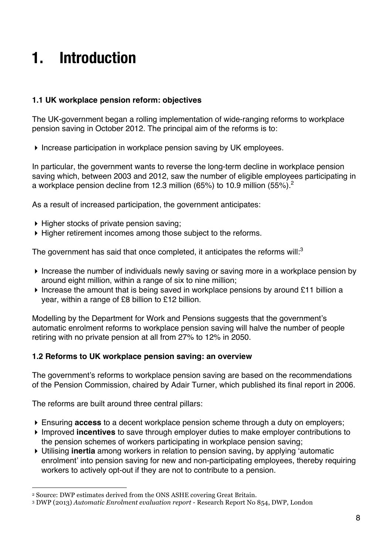### **1. Introduction**

#### **1.1 UK workplace pension reform: objectives**

The UK-government began a rolling implementation of wide-ranging reforms to workplace pension saving in October 2012. The principal aim of the reforms is to:

! Increase participation in workplace pension saving by UK employees.

In particular, the government wants to reverse the long-term decline in workplace pension saving which, between 2003 and 2012, saw the number of eligible employees participating in a workplace pension decline from 12.3 million (65%) to 10.9 million (55%).<sup>2</sup>

As a result of increased participation, the government anticipates:

- ! Higher stocks of private pension saving;
- ! Higher retirement incomes among those subject to the reforms.

The government has said that once completed, it anticipates the reforms will: $3$ 

- ! Increase the number of individuals newly saving or saving more in a workplace pension by around eight million, within a range of six to nine million;
- ! Increase the amount that is being saved in workplace pensions by around £11 billion a year, within a range of £8 billion to £12 billion.

Modelling by the Department for Work and Pensions suggests that the government's automatic enrolment reforms to workplace pension saving will halve the number of people retiring with no private pension at all from 27% to 12% in 2050.

#### **1.2 Reforms to UK workplace pension saving: an overview**

The government's reforms to workplace pension saving are based on the recommendations of the Pension Commission, chaired by Adair Turner, which published its final report in 2006.

The reforms are built around three central pillars:

!!!!!!!!!!!!!!!!!!!!!!!!!!!!!!!!!!!!!!!!!!!!!!!!!!!!!!!!!!!!

- ! Ensuring **access** to a decent workplace pension scheme through a duty on employers;
- ! Improved **incentives** to save through employer duties to make employer contributions to the pension schemes of workers participating in workplace pension saving;
- ! Utilising **inertia** among workers in relation to pension saving, by applying 'automatic enrolment' into pension saving for new and non-participating employees, thereby requiring workers to actively opt-out if they are not to contribute to a pension.

<sup>2</sup> Source: DWP estimates derived from the ONS ASHE covering Great Britain.

<sup>3</sup> DWP (2013) *Automatic Enrolment evaluation report* - Research Report No 854, DWP, London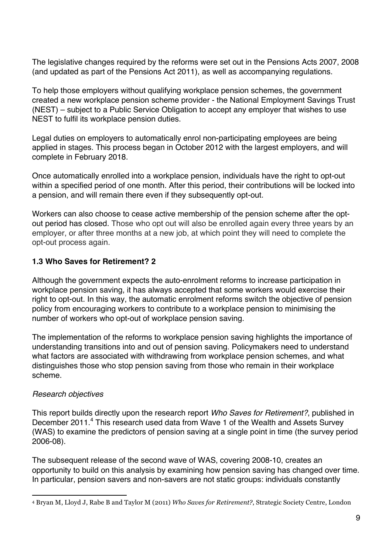The legislative changes required by the reforms were set out in the Pensions Acts 2007, 2008 (and updated as part of the Pensions Act 2011), as well as accompanying regulations.

To help those employers without qualifying workplace pension schemes, the government created a new workplace pension scheme provider - the National Employment Savings Trust (NEST) – subject to a Public Service Obligation to accept any employer that wishes to use NEST to fulfil its workplace pension duties.

Legal duties on employers to automatically enrol non-participating employees are being applied in stages. This process began in October 2012 with the largest employers, and will complete in February 2018.

Once automatically enrolled into a workplace pension, individuals have the right to opt-out within a specified period of one month. After this period, their contributions will be locked into a pension, and will remain there even if they subsequently opt-out.

Workers can also choose to cease active membership of the pension scheme after the optout period has closed. Those who opt out will also be enrolled again every three years by an employer, or after three months at a new job, at which point they will need to complete the opt-out process again.

#### **1.3 Who Saves for Retirement? 2**

Although the government expects the auto-enrolment reforms to increase participation in workplace pension saving, it has always accepted that some workers would exercise their right to opt-out. In this way, the automatic enrolment reforms switch the objective of pension policy from encouraging workers to contribute to a workplace pension to minimising the number of workers who opt-out of workplace pension saving.

The implementation of the reforms to workplace pension saving highlights the importance of understanding transitions into and out of pension saving. Policymakers need to understand what factors are associated with withdrawing from workplace pension schemes, and what distinguishes those who stop pension saving from those who remain in their workplace scheme.

#### *Research objectives*

This report builds directly upon the research report *Who Saves for Retirement?*, published in December 2011.<sup>4</sup> This research used data from Wave 1 of the Wealth and Assets Survey (WAS) to examine the predictors of pension saving at a single point in time (the survey period 2006-08).

The subsequent release of the second wave of WAS, covering 2008-10, creates an opportunity to build on this analysis by examining how pension saving has changed over time. In particular, pension savers and non-savers are not static groups: individuals constantly

<sup>!!!!!!!!!!!!!!!!!!!!!!!!!!!!!!!!!!!!!!!!!!!!!!!!!!!!!!!!!!!!</sup> <sup>4</sup> Bryan M, Lloyd J, Rabe B and Taylor M (2011) *Who Saves for Retirement?*, Strategic Society Centre, London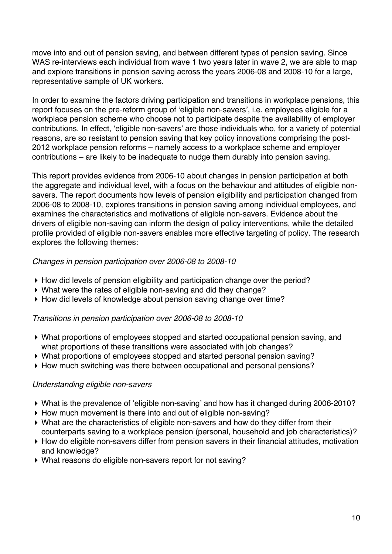move into and out of pension saving, and between different types of pension saving. Since WAS re-interviews each individual from wave 1 two years later in wave 2, we are able to map and explore transitions in pension saving across the years 2006-08 and 2008-10 for a large, representative sample of UK workers.

In order to examine the factors driving participation and transitions in workplace pensions, this report focuses on the pre-reform group of 'eligible non-savers', i.e. employees eligible for a workplace pension scheme who choose not to participate despite the availability of employer contributions. In effect, 'eligible non-savers' are those individuals who, for a variety of potential reasons, are so resistant to pension saving that key policy innovations comprising the post-2012 workplace pension reforms – namely access to a workplace scheme and employer contributions – are likely to be inadequate to nudge them durably into pension saving.

This report provides evidence from 2006-10 about changes in pension participation at both the aggregate and individual level, with a focus on the behaviour and attitudes of eligible nonsavers. The report documents how levels of pension eligibility and participation changed from 2006-08 to 2008-10, explores transitions in pension saving among individual employees, and examines the characteristics and motivations of eligible non-savers. Evidence about the drivers of eligible non-saving can inform the design of policy interventions, while the detailed profile provided of eligible non-savers enables more effective targeting of policy. The research explores the following themes:

#### *Changes in pension participation over 2006-08 to 2008-10*

- ! How did levels of pension eligibility and participation change over the period?
- ! What were the rates of eligible non-saving and did they change?
- ! How did levels of knowledge about pension saving change over time?

#### *Transitions in pension participation over 2006-08 to 2008-10*

- ! What proportions of employees stopped and started occupational pension saving, and what proportions of these transitions were associated with job changes?
- ! What proportions of employees stopped and started personal pension saving?
- ! How much switching was there between occupational and personal pensions?

#### *Understanding eligible non-savers*

- ! What is the prevalence of 'eligible non-saving' and how has it changed during 2006-2010?
- ! How much movement is there into and out of eligible non-saving?
- ! What are the characteristics of eligible non-savers and how do they differ from their counterparts saving to a workplace pension (personal, household and job characteristics)?
- ! How do eligible non-savers differ from pension savers in their financial attitudes, motivation and knowledge?
- ! What reasons do eligible non-savers report for not saving?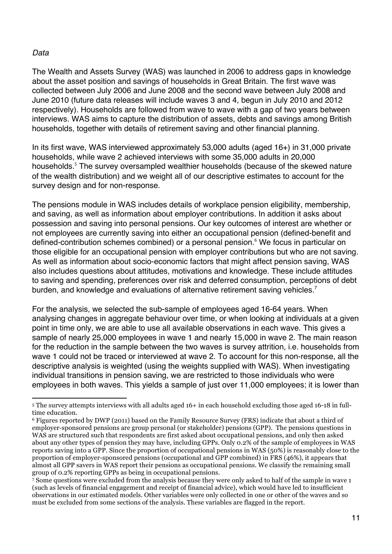#### *Data*

!!!!!!!!!!!!!!!!!!!!!!!!!!!!!!!!!!!!!!!!!!!!!!!!!!!!!!!!!!!!

The Wealth and Assets Survey (WAS) was launched in 2006 to address gaps in knowledge about the asset position and savings of households in Great Britain. The first wave was collected between July 2006 and June 2008 and the second wave between July 2008 and June 2010 (future data releases will include waves 3 and 4, begun in July 2010 and 2012 respectively). Households are followed from wave to wave with a gap of two years between interviews. WAS aims to capture the distribution of assets, debts and savings among British households, together with details of retirement saving and other financial planning.

In its first wave, WAS interviewed approximately 53,000 adults (aged 16+) in 31,000 private households, while wave 2 achieved interviews with some 35,000 adults in 20,000 households.<sup>5</sup> The survey oversampled wealthier households (because of the skewed nature of the wealth distribution) and we weight all of our descriptive estimates to account for the survey design and for non-response.

The pensions module in WAS includes details of workplace pension eligibility, membership, and saving, as well as information about employer contributions. In addition it asks about possession and saving into personal pensions. Our key outcomes of interest are whether or not employees are currently saving into either an occupational pension (defined-benefit and defined-contribution schemes combined) or a personal pension.<sup>6</sup> We focus in particular on those eligible for an occupational pension with employer contributions but who are not saving. As well as information about socio-economic factors that might affect pension saving, WAS also includes questions about attitudes, motivations and knowledge. These include attitudes to saving and spending, preferences over risk and deferred consumption, perceptions of debt burden, and knowledge and evaluations of alternative retirement saving vehicles.<sup>7</sup>

For the analysis, we selected the sub-sample of employees aged 16-64 years. When analysing changes in aggregate behaviour over time, or when looking at individuals at a given point in time only, we are able to use all available observations in each wave. This gives a sample of nearly 25,000 employees in wave 1 and nearly 15,000 in wave 2. The main reason for the reduction in the sample between the two waves is survey attrition, i.e. households from wave 1 could not be traced or interviewed at wave 2. To account for this non-response, all the descriptive analysis is weighted (using the weights supplied with WAS). When investigating individual transitions in pension saving, we are restricted to those individuals who were employees in both waves. This yields a sample of just over 11,000 employees; it is lower than

<sup>5</sup> The survey attempts interviews with all adults aged 16+ in each household excluding those aged 16-18 in fulltime education.

<sup>6</sup> Figures reported by DWP (2011) based on the Family Resource Survey (FRS) indicate that about a third of employer-sponsored pensions are group personal (or stakeholder) pensions (GPP). The pensions questions in WAS are structured such that respondents are first asked about occupational pensions, and only then asked about any other types of pension they may have, including GPPs. Only 0.2% of the sample of employees in WAS reports saving into a GPP. Since the proportion of occupational pensions in WAS (50%) is reasonably close to the proportion of employer-sponsored pensions (occupational and GPP combined) in FRS (46%), it appears that almost all GPP savers in WAS report their pensions as occupational pensions. We classify the remaining small group of 0.2% reporting GPPs as being in occupational pensions.

 $\bar{7}$  Some questions were excluded from the analysis because they were only asked to half of the sample in wave 1 (such as levels of financial engagement and receipt of financial advice), which would have led to insufficient observations in our estimated models. Other variables were only collected in one or other of the waves and so must be excluded from some sections of the analysis. These variables are flagged in the report.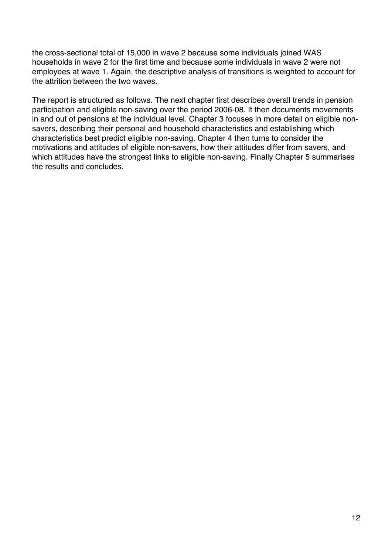the cross-sectional total of 15,000 in wave 2 because some individuals joined WAS households in wave 2 for the first time and because some individuals in wave 2 were not employees at wave 1. Again, the descriptive analysis of transitions is weighted to account for the attrition between the two waves.

The report is structured as follows. The next chapter first describes overall trends in pension participation and eligible non-saving over the period 2006-08. It then documents movements in and out of pensions at the individual level. Chapter 3 focuses in more detail on eligible nonsavers, describing their personal and household characteristics and establishing which characteristics best predict eligible non-saving. Chapter 4 then turns to consider the motivations and attitudes of eligible non-savers, how their attitudes differ from savers, and which attitudes have the strongest links to eligible non-saving. Finally Chapter 5 summarises the results and concludes.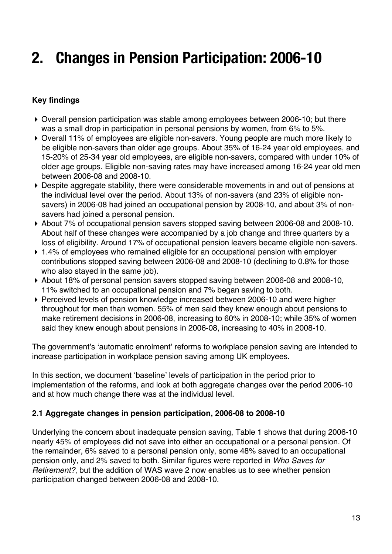### **2. Changes in Pension Participation: 2006-10**

#### **Key findings**

- ! Overall pension participation was stable among employees between 2006-10; but there was a small drop in participation in personal pensions by women, from 6% to 5%.
- ! Overall 11% of employees are eligible non-savers. Young people are much more likely to be eligible non-savers than older age groups. About 35% of 16-24 year old employees, and 15-20% of 25-34 year old employees, are eligible non-savers, compared with under 10% of older age groups. Eligible non-saving rates may have increased among 16-24 year old men between 2006-08 and 2008-10.
- ! Despite aggregate stability, there were considerable movements in and out of pensions at the individual level over the period. About 13% of non-savers (and 23% of eligible nonsavers) in 2006-08 had joined an occupational pension by 2008-10, and about 3% of nonsavers had joined a personal pension.
- ! About 7% of occupational pension savers stopped saving between 2006-08 and 2008-10. About half of these changes were accompanied by a job change and three quarters by a loss of eligibility. Around 17% of occupational pension leavers became eligible non-savers.
- ▶ 1.4% of employees who remained eligible for an occupational pension with employer contributions stopped saving between 2006-08 and 2008-10 (declining to 0.8% for those who also stayed in the same job).
- ! About 18% of personal pension savers stopped saving between 2006-08 and 2008-10, 11% switched to an occupational pension and 7% began saving to both.
- ! Perceived levels of pension knowledge increased between 2006-10 and were higher throughout for men than women. 55% of men said they knew enough about pensions to make retirement decisions in 2006-08, increasing to 60% in 2008-10; while 35% of women said they knew enough about pensions in 2006-08, increasing to 40% in 2008-10.

The government's 'automatic enrolment' reforms to workplace pension saving are intended to increase participation in workplace pension saving among UK employees.

In this section, we document 'baseline' levels of participation in the period prior to implementation of the reforms, and look at both aggregate changes over the period 2006-10 and at how much change there was at the individual level.

#### **2.1 Aggregate changes in pension participation, 2006-08 to 2008-10**

Underlying the concern about inadequate pension saving, Table 1 shows that during 2006-10 nearly 45% of employees did not save into either an occupational or a personal pension. Of the remainder, 6% saved to a personal pension only, some 48% saved to an occupational pension only, and 2% saved to both. Similar figures were reported in *Who Saves for Retirement?*, but the addition of WAS wave 2 now enables us to see whether pension participation changed between 2006-08 and 2008-10.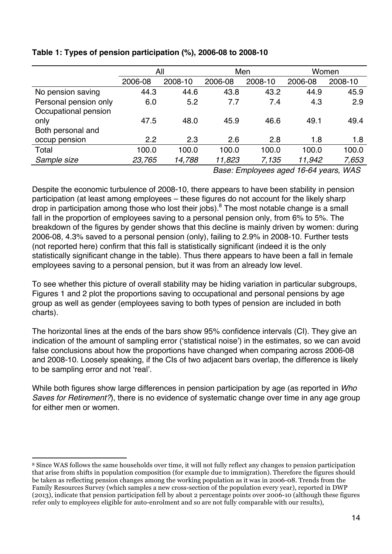|                       | All     |         | Men     |         | Women   |         |
|-----------------------|---------|---------|---------|---------|---------|---------|
|                       | 2006-08 | 2008-10 | 2006-08 | 2008-10 | 2006-08 | 2008-10 |
| No pension saving     | 44.3    | 44.6    | 43.8    | 43.2    | 44.9    | 45.9    |
| Personal pension only | 6.0     | 5.2     | 7.7     | 7.4     | 4.3     | 2.9     |
| Occupational pension  |         |         |         |         |         |         |
| only                  | 47.5    | 48.0    | 45.9    | 46.6    | 49.1    | 49.4    |
| Both personal and     |         |         |         |         |         |         |
| occup pension         | 2.2     | 2.3     | 2.6     | 2.8     | 1.8     | 1.8     |
| Total                 | 100.0   | 100.0   | 100.0   | 100.0   | 100.0   | 100.0   |
| Sample size           | 23,765  | 14,788  | 11,823  | 7,135   | 11,942  | 7,653   |
|                       |         |         |         |         |         |         |

#### **Table 1: Types of pension participation (%), 2006-08 to 2008-10**

*Base: Employees aged 16-64 years, WAS*

Despite the economic turbulence of 2008-10, there appears to have been stability in pension participation (at least among employees – these figures do not account for the likely sharp drop in participation among those who lost their jobs). $8$  The most notable change is a small fall in the proportion of employees saving to a personal pension only, from 6% to 5%. The breakdown of the figures by gender shows that this decline is mainly driven by women: during 2006-08, 4.3% saved to a personal pension (only), failing to 2.9% in 2008-10. Further tests (not reported here) confirm that this fall is statistically significant (indeed it is the only statistically significant change in the table). Thus there appears to have been a fall in female employees saving to a personal pension, but it was from an already low level.

To see whether this picture of overall stability may be hiding variation in particular subgroups, Figures 1 and 2 plot the proportions saving to occupational and personal pensions by age group as well as gender (employees saving to both types of pension are included in both charts).

The horizontal lines at the ends of the bars show 95% confidence intervals (CI). They give an indication of the amount of sampling error ('statistical noise') in the estimates, so we can avoid false conclusions about how the proportions have changed when comparing across 2006-08 and 2008-10. Loosely speaking, if the CIs of two adjacent bars overlap, the difference is likely to be sampling error and not 'real'.

While both figures show large differences in pension participation by age (as reported in *Who Saves for Retirement?*), there is no evidence of systematic change over time in any age group for either men or women.

<sup>!!!!!!!!!!!!!!!!!!!!!!!!!!!!!!!!!!!!!!!!!!!!!!!!!!!!!!!!!!!!</sup> <sup>8</sup> Since WAS follows the same households over time, it will not fully reflect any changes to pension participation that arise from shifts in population composition (for example due to immigration). Therefore the figures should be taken as reflecting pension changes among the working population as it was in 2006-08. Trends from the Family Resources Survey (which samples a new cross-section of the population every year), reported in DWP (2013), indicate that pension participation fell by about 2 percentage points over 2006-10 (although these figures refer only to employees eligible for auto-enrolment and so are not fully comparable with our results),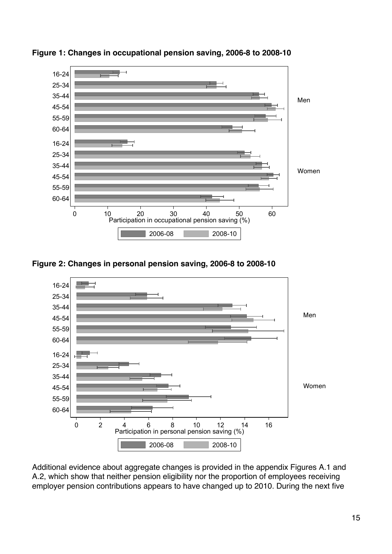

**Figure 1: Changes in occupational pension saving, 2006-8 to 2008-10**

**Figure 2: Changes in personal pension saving, 2006-8 to 2008-10**



Additional evidence about aggregate changes is provided in the appendix Figures A.1 and A.2, which show that neither pension eligibility nor the proportion of employees receiving employer pension contributions appears to have changed up to 2010. During the next five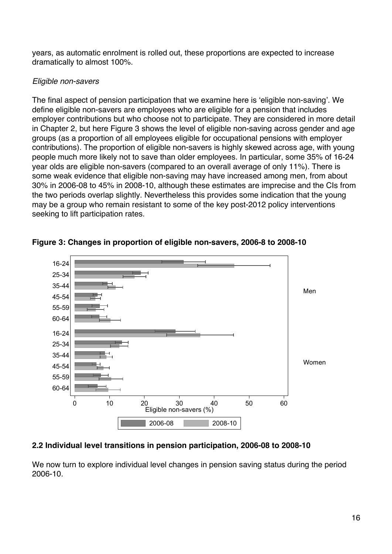years, as automatic enrolment is rolled out, these proportions are expected to increase dramatically to almost 100%.

#### *Eligible non-savers*

The final aspect of pension participation that we examine here is 'eligible non-saving'. We define eligible non-savers are employees who are eligible for a pension that includes employer contributions but who choose not to participate. They are considered in more detail in Chapter 2, but here Figure 3 shows the level of eligible non-saving across gender and age groups (as a proportion of all employees eligible for occupational pensions with employer contributions). The proportion of eligible non-savers is highly skewed across age, with young people much more likely not to save than older employees. In particular, some 35% of 16-24 year olds are eligible non-savers (compared to an overall average of only 11%). There is some weak evidence that eligible non-saving may have increased among men, from about 30% in 2006-08 to 45% in 2008-10, although these estimates are imprecise and the CIs from the two periods overlap slightly. Nevertheless this provides some indication that the young may be a group who remain resistant to some of the key post-2012 policy interventions seeking to lift participation rates.





### **2.2 Individual level transitions in pension participation, 2006-08 to 2008-10**

We now turn to explore individual level changes in pension saving status during the period 2006-10.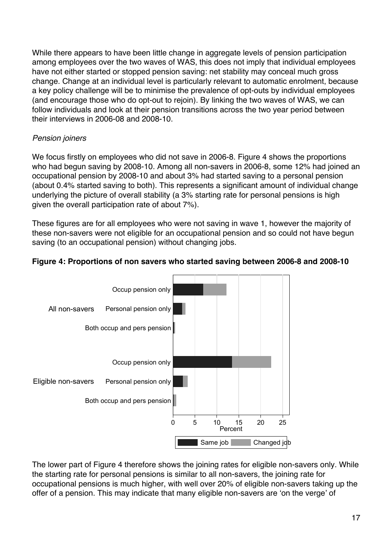While there appears to have been little change in aggregate levels of pension participation among employees over the two waves of WAS, this does not imply that individual employees have not either started or stopped pension saving: net stability may conceal much gross change. Change at an individual level is particularly relevant to automatic enrolment, because a key policy challenge will be to minimise the prevalence of opt-outs by individual employees (and encourage those who do opt-out to rejoin). By linking the two waves of WAS, we can follow individuals and look at their pension transitions across the two year period between their interviews in 2006-08 and 2008-10.

#### *Pension joiners*

We focus firstly on employees who did not save in 2006-8. Figure 4 shows the proportions who had begun saving by 2008-10. Among all non-savers in 2006-8, some 12% had joined an occupational pension by 2008-10 and about 3% had started saving to a personal pension (about 0.4% started saving to both). This represents a significant amount of individual change underlying the picture of overall stability (a 3% starting rate for personal pensions is high given the overall participation rate of about 7%).

These figures are for all employees who were not saving in wave 1, however the majority of these non-savers were not eligible for an occupational pension and so could not have begun saving (to an occupational pension) without changing jobs.

#### **Figure 4: Proportions of non savers who started saving between 2006-8 and 2008-10**



The lower part of Figure 4 therefore shows the joining rates for eligible non-savers only. While the starting rate for personal pensions is similar to all non-savers, the joining rate for occupational pensions is much higher, with well over 20% of eligible non-savers taking up the offer of a pension. This may indicate that many eligible non-savers are 'on the verge' of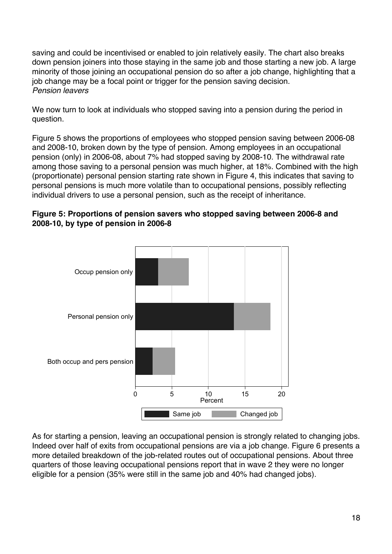saving and could be incentivised or enabled to join relatively easily. The chart also breaks down pension joiners into those staying in the same job and those starting a new job. A large minority of those joining an occupational pension do so after a job change, highlighting that a job change may be a focal point or trigger for the pension saving decision. *Pension leavers*

We now turn to look at individuals who stopped saving into a pension during the period in question.

Figure 5 shows the proportions of employees who stopped pension saving between 2006-08 and 2008-10, broken down by the type of pension. Among employees in an occupational pension (only) in 2006-08, about 7% had stopped saving by 2008-10. The withdrawal rate among those saving to a personal pension was much higher, at 18%. Combined with the high (proportionate) personal pension starting rate shown in Figure 4, this indicates that saving to personal pensions is much more volatile than to occupational pensions, possibly reflecting individual drivers to use a personal pension, such as the receipt of inheritance.





As for starting a pension, leaving an occupational pension is strongly related to changing jobs. Indeed over half of exits from occupational pensions are via a job change. Figure 6 presents a more detailed breakdown of the job-related routes out of occupational pensions. About three quarters of those leaving occupational pensions report that in wave 2 they were no longer eligible for a pension (35% were still in the same job and 40% had changed jobs).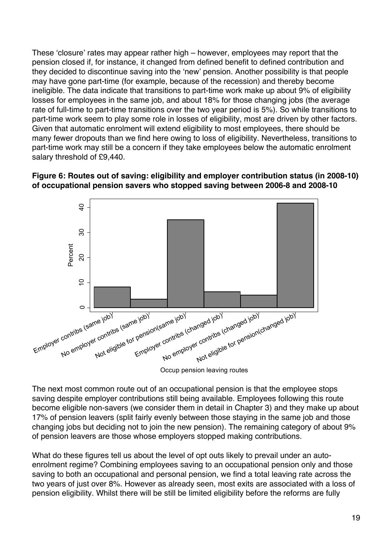These 'closure' rates may appear rather high – however, employees may report that the pension closed if, for instance, it changed from defined benefit to defined contribution and they decided to discontinue saving into the 'new' pension. Another possibility is that people may have gone part-time (for example, because of the recession) and thereby become ineligible. The data indicate that transitions to part-time work make up about 9% of eligibility losses for employees in the same job, and about 18% for those changing jobs (the average rate of full-time to part-time transitions over the two year period is 5%). So while transitions to part-time work seem to play some role in losses of eligibility, most are driven by other factors. Given that automatic enrolment will extend eligibility to most employees, there should be many fewer dropouts than we find here owing to loss of eligibility. Nevertheless, transitions to part-time work may still be a concern if they take employees below the automatic enrolment salary threshold of £9,440.

#### **Figure 6: Routes out of saving: eligibility and employer contribution status (in 2008-10) of occupational pension savers who stopped saving between 2006-8 and 2008-10**



Occup pension leaving routes

The next most common route out of an occupational pension is that the employee stops saving despite employer contributions still being available. Employees following this route become eligible non-savers (we consider them in detail in Chapter 3) and they make up about 17% of pension leavers (split fairly evenly between those staying in the same job and those changing jobs but deciding not to join the new pension). The remaining category of about 9% of pension leavers are those whose employers stopped making contributions.

What do these figures tell us about the level of opt outs likely to prevail under an autoenrolment regime? Combining employees saving to an occupational pension only and those saving to both an occupational and personal pension, we find a total leaving rate across the two years of just over 8%. However as already seen, most exits are associated with a loss of pension eligibility. Whilst there will be still be limited eligibility before the reforms are fully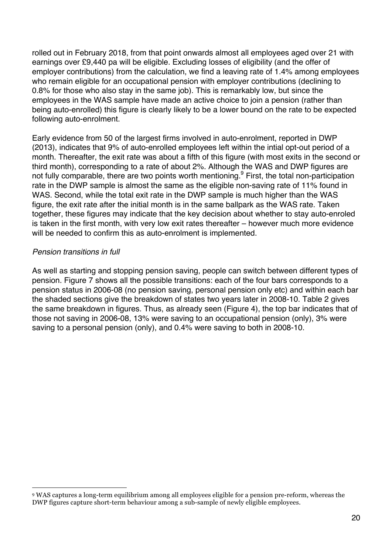rolled out in February 2018, from that point onwards almost all employees aged over 21 with earnings over £9,440 pa will be eligible. Excluding losses of eligibility (and the offer of employer contributions) from the calculation, we find a leaving rate of 1.4% among employees who remain eligible for an occupational pension with employer contributions (declining to 0.8% for those who also stay in the same job). This is remarkably low, but since the employees in the WAS sample have made an active choice to join a pension (rather than being auto-enrolled) this figure is clearly likely to be a lower bound on the rate to be expected following auto-enrolment.

Early evidence from 50 of the largest firms involved in auto-enrolment, reported in DWP (2013), indicates that 9% of auto-enrolled employees left within the intial opt-out period of a month. Thereafter, the exit rate was about a fifth of this figure (with most exits in the second or third month), corresponding to a rate of about 2%. Although the WAS and DWP figures are not fully comparable, there are two points worth mentioning.<sup>9</sup> First, the total non-participation rate in the DWP sample is almost the same as the eligible non-saving rate of 11% found in WAS. Second, while the total exit rate in the DWP sample is much higher than the WAS figure, the exit rate after the initial month is in the same ballpark as the WAS rate. Taken together, these figures may indicate that the key decision about whether to stay auto-enroled is taken in the first month, with very low exit rates thereafter – however much more evidence will be needed to confirm this as auto-enrolment is implemented.

#### *Pension transitions in full*

!!!!!!!!!!!!!!!!!!!!!!!!!!!!!!!!!!!!!!!!!!!!!!!!!!!!!!!!!!!!

As well as starting and stopping pension saving, people can switch between different types of pension. Figure 7 shows all the possible transitions: each of the four bars corresponds to a pension status in 2006-08 (no pension saving, personal pension only etc) and within each bar the shaded sections give the breakdown of states two years later in 2008-10. Table 2 gives the same breakdown in figures. Thus, as already seen (Figure 4), the top bar indicates that of those not saving in 2006-08, 13% were saving to an occupational pension (only), 3% were saving to a personal pension (only), and 0.4% were saving to both in 2008-10.

<sup>9</sup> WAS captures a long-term equilibrium among all employees eligible for a pension pre-reform, whereas the DWP figures capture short-term behaviour among a sub-sample of newly eligible employees.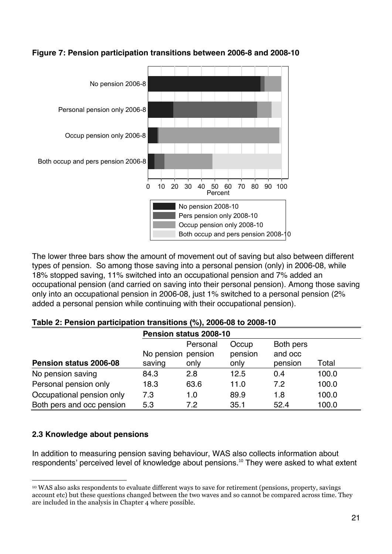

#### **Figure 7: Pension participation transitions between 2006-8 and 2008-10**

The lower three bars show the amount of movement out of saving but also between different types of pension. So among those saving into a personal pension (only) in 2006-08, while 18% stopped saving, 11% switched into an occupational pension and 7% added an occupational pension (and carried on saving into their personal pension). Among those saving only into an occupational pension in 2006-08, just 1% switched to a personal pension (2% added a personal pension while continuing with their occupational pension).

#### **Table 2: Pension participation transitions (%), 2006-08 to 2008-10**

|                           | Pension status 2008-10 |          |         |           |       |  |  |  |
|---------------------------|------------------------|----------|---------|-----------|-------|--|--|--|
|                           |                        | Personal | Occup   | Both pers |       |  |  |  |
|                           | No pension pension     |          | pension | and occ   |       |  |  |  |
| Pension status 2006-08    | saving                 | only     | only    | pension   | Total |  |  |  |
| No pension saving         | 84.3                   | 2.8      | 12.5    | 0.4       | 100.0 |  |  |  |
| Personal pension only     | 18.3                   | 63.6     | 11.0    | 7.2       | 100.0 |  |  |  |
| Occupational pension only | 7.3                    | 1.0      | 89.9    | 1.8       | 100.0 |  |  |  |
| Both pers and occ pension | 5.3                    | 7.2      | 35.1    | 52.4      | 100.0 |  |  |  |

### **2.3 Knowledge about pensions**

In addition to measuring pension saving behaviour, WAS also collects information about respondents' perceived level of knowledge about pensions.<sup>10</sup> They were asked to what extent

<sup>!!!!!!!!!!!!!!!!!!!!!!!!!!!!!!!!!!!!!!!!!!!!!!!!!!!!!!!!!!!!</sup> <sup>10</sup> WAS also asks respondents to evaluate different ways to save for retirement (pensions, property, savings account etc) but these questions changed between the two waves and so cannot be compared across time. They are included in the analysis in Chapter 4 where possible.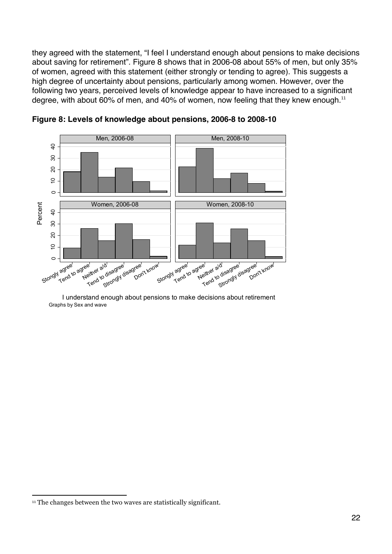they agreed with the statement, "I feel I understand enough about pensions to make decisions about saving for retirement". Figure 8 shows that in 2006-08 about 55% of men, but only 35% of women, agreed with this statement (either strongly or tending to agree). This suggests a high degree of uncertainty about pensions, particularly among women. However, over the following two years, perceived levels of knowledge appear to have increased to a significant degree, with about 60% of men, and 40% of women, now feeling that they knew enough. $^{11}$ 





I understand enough about pensions to make decisions about retirement Graphs by Sex and wave

!!!!!!!!!!!!!!!!!!!!!!!!!!!!!!!!!!!!!!!!!!!!!!!!!!!!!!!!!!!!

<sup>&</sup>lt;sup>11</sup> The changes between the two waves are statistically significant.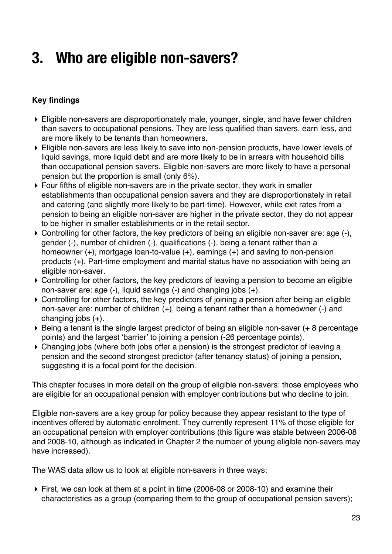### **3. Who are eligible non-savers?**

### **Key findings**

- ! Eligible non-savers are disproportionately male, younger, single, and have fewer children than savers to occupational pensions. They are less qualified than savers, earn less, and are more likely to be tenants than homeowners.
- ! Eligible non-savers are less likely to save into non-pension products, have lower levels of liquid savings, more liquid debt and are more likely to be in arrears with household bills than occupational pension savers. Eligible non-savers are more likely to have a personal pension but the proportion is small (only 6%).
- ! Four fifths of eligible non-savers are in the private sector, they work in smaller establishments than occupational pension savers and they are disproportionately in retail and catering (and slightly more likely to be part-time). However, while exit rates from a pension to being an eligible non-saver are higher in the private sector, they do not appear to be higher in smaller establishments or in the retail sector.
- ! Controlling for other factors, the key predictors of being an eligible non-saver are: age (-), gender (-), number of children (-), qualifications (-), being a tenant rather than a homeowner (+), mortgage loan-to-value (+), earnings (+) and saving to non-pension products (+). Part-time employment and marital status have no association with being an eligible non-saver.
- ! Controlling for other factors, the key predictors of leaving a pension to become an eligible non-saver are: age (-), liquid savings (-) and changing jobs (+).
- ! Controlling for other factors, the key predictors of joining a pension after being an eligible non-saver are: number of children (+), being a tenant rather than a homeowner (-) and changing jobs (+).
- ! Being a tenant is the single largest predictor of being an eligible non-saver (+ 8 percentage points) and the largest 'barrier' to joining a pension (-26 percentage points).
- ! Changing jobs (where both jobs offer a pension) is the strongest predictor of leaving a pension and the second strongest predictor (after tenancy status) of joining a pension, suggesting it is a focal point for the decision.

This chapter focuses in more detail on the group of eligible non-savers: those employees who are eligible for an occupational pension with employer contributions but who decline to join.

Eligible non-savers are a key group for policy because they appear resistant to the type of incentives offered by automatic enrolment. They currently represent 11% of those eligible for an occupational pension with employer contributions (this figure was stable between 2006-08 and 2008-10, although as indicated in Chapter 2 the number of young eligible non-savers may have increased).

The WAS data allow us to look at eligible non-savers in three ways:

! First, we can look at them at a point in time (2006-08 or 2008-10) and examine their characteristics as a group (comparing them to the group of occupational pension savers);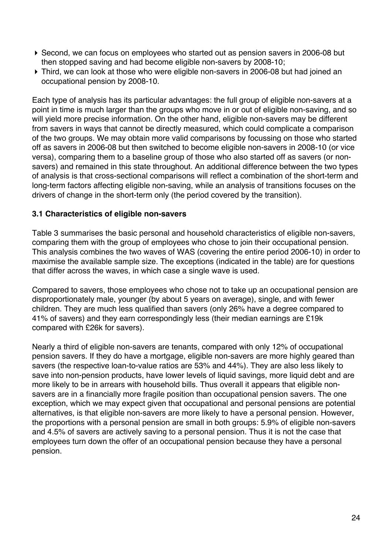- ! Second, we can focus on employees who started out as pension savers in 2006-08 but then stopped saving and had become eligible non-savers by 2008-10;
- ! Third, we can look at those who were eligible non-savers in 2006-08 but had joined an occupational pension by 2008-10.

Each type of analysis has its particular advantages: the full group of eligible non-savers at a point in time is much larger than the groups who move in or out of eligible non-saving, and so will yield more precise information. On the other hand, eligible non-savers may be different from savers in ways that cannot be directly measured, which could complicate a comparison of the two groups. We may obtain more valid comparisons by focussing on those who started off as savers in 2006-08 but then switched to become eligible non-savers in 2008-10 (or vice versa), comparing them to a baseline group of those who also started off as savers (or nonsavers) and remained in this state throughout. An additional difference between the two types of analysis is that cross-sectional comparisons will reflect a combination of the short-term and long-term factors affecting eligible non-saving, while an analysis of transitions focuses on the drivers of change in the short-term only (the period covered by the transition).

#### **3.1 Characteristics of eligible non-savers**

Table 3 summarises the basic personal and household characteristics of eligible non-savers, comparing them with the group of employees who chose to join their occupational pension. This analysis combines the two waves of WAS (covering the entire period 2006-10) in order to maximise the available sample size. The exceptions (indicated in the table) are for questions that differ across the waves, in which case a single wave is used.

Compared to savers, those employees who chose not to take up an occupational pension are disproportionately male, younger (by about 5 years on average), single, and with fewer children. They are much less qualified than savers (only 26% have a degree compared to 41% of savers) and they earn correspondingly less (their median earnings are £19k compared with £26k for savers).

Nearly a third of eligible non-savers are tenants, compared with only 12% of occupational pension savers. If they do have a mortgage, eligible non-savers are more highly geared than savers (the respective loan-to-value ratios are 53% and 44%). They are also less likely to save into non-pension products, have lower levels of liquid savings, more liquid debt and are more likely to be in arrears with household bills. Thus overall it appears that eligible nonsavers are in a financially more fragile position than occupational pension savers. The one exception, which we may expect given that occupational and personal pensions are potential alternatives, is that eligible non-savers are more likely to have a personal pension. However, the proportions with a personal pension are small in both groups: 5.9% of eligible non-savers and 4.5% of savers are actively saving to a personal pension. Thus it is not the case that employees turn down the offer of an occupational pension because they have a personal pension.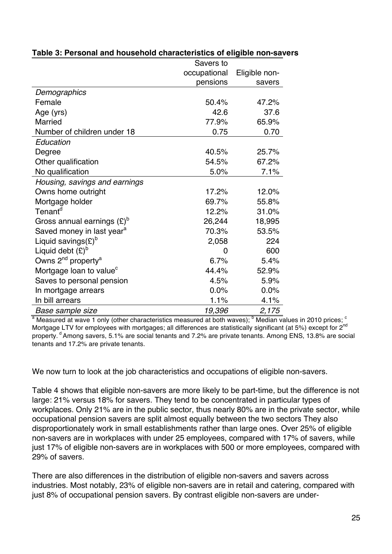|                                            | Savers to    |               |
|--------------------------------------------|--------------|---------------|
|                                            | occupational | Eligible non- |
|                                            | pensions     | savers        |
| Demographics                               |              |               |
| Female                                     | 50.4%        | 47.2%         |
| Age (yrs)                                  | 42.6         | 37.6          |
| <b>Married</b>                             | 77.9%        | 65.9%         |
| Number of children under 18                | 0.75         | 0.70          |
| Education                                  |              |               |
| Degree                                     | 40.5%        | 25.7%         |
| Other qualification                        | 54.5%        | 67.2%         |
| No qualification                           | 5.0%         | 7.1%          |
| Housing, savings and earnings              |              |               |
| Owns home outright                         | 17.2%        | 12.0%         |
| Mortgage holder                            | 69.7%        | 55.8%         |
| Tenant <sup>d</sup>                        | 12.2%        | 31.0%         |
| Gross annual earnings $(E)^{D}$            | 26,244       | 18,995        |
| Saved money in last year <sup>a</sup>      | 70.3%        | 53.5%         |
| Liquid savings(£) <sup>b</sup>             | 2,058        | 224           |
| Liquid debt $(E)^b$                        | 0            | 600           |
| Owns 2 <sup>nd</sup> property <sup>a</sup> | 6.7%         | 5.4%          |
| Mortgage loan to value <sup>c</sup>        | 44.4%        | 52.9%         |
| Saves to personal pension                  | 4.5%         | 5.9%          |
| In mortgage arrears                        | 0.0%         | 0.0%          |
| In bill arrears                            | 1.1%         | 4.1%          |
| Base sample size                           | 19,396       | 2,175         |

#### **Table 3: Personal and household characteristics of eligible non-savers**

 $a$  Measured at wave 1 only (other characteristics measured at both waves); <sup>b</sup> Median values in 2010 prices:  $c$ Mortgage LTV for employees with mortgages; all differences are statistically significant (at 5%) except for 2<sup>nd</sup> property. <sup>d</sup> Among savers, 5.1% are social tenants and 7.2% are private tenants. Among ENS, 13.8% are social tenants and 17.2% are private tenants.

We now turn to look at the job characteristics and occupations of eligible non-savers.

Table 4 shows that eligible non-savers are more likely to be part-time, but the difference is not large: 21% versus 18% for savers. They tend to be concentrated in particular types of workplaces. Only 21% are in the public sector, thus nearly 80% are in the private sector, while occupational pension savers are split almost equally between the two sectors They also disproportionately work in small establishments rather than large ones. Over 25% of eligible non-savers are in workplaces with under 25 employees, compared with 17% of savers, while just 17% of eligible non-savers are in workplaces with 500 or more employees, compared with 29% of savers.

There are also differences in the distribution of eligible non-savers and savers across industries. Most notably, 23% of eligible non-savers are in retail and catering, compared with just 8% of occupational pension savers. By contrast eligible non-savers are under-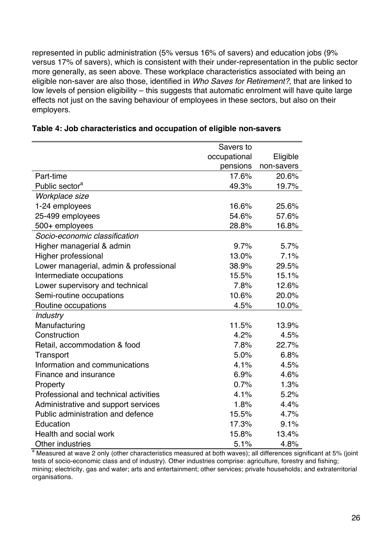represented in public administration (5% versus 16% of savers) and education jobs (9% versus 17% of savers), which is consistent with their under-representation in the public sector more generally, as seen above. These workplace characteristics associated with being an eligible non-saver are also those, identified in *Who Saves for Retirement?*, that are linked to low levels of pension eligibility – this suggests that automatic enrolment will have quite large effects not just on the saving behaviour of employees in these sectors, but also on their employers.

|                                        | Savers to    |            |
|----------------------------------------|--------------|------------|
|                                        | occupational | Eligible   |
|                                        | pensions     | non-savers |
| Part-time                              | 17.6%        | 20.6%      |
| Public sector <sup>a</sup>             | 49.3%        | 19.7%      |
| Workplace size                         |              |            |
| 1-24 employees                         | 16.6%        | 25.6%      |
| 25-499 employees                       | 54.6%        | 57.6%      |
| 500+ employees                         | 28.8%        | 16.8%      |
| Socio-economic classification          |              |            |
| Higher managerial & admin              | 9.7%         | 5.7%       |
| Higher professional                    | 13.0%        | 7.1%       |
| Lower managerial, admin & professional | 38.9%        | 29.5%      |
| Intermediate occupations               | 15.5%        | 15.1%      |
| Lower supervisory and technical        | 7.8%         | 12.6%      |
| Semi-routine occupations               | 10.6%        | 20.0%      |
| Routine occupations                    | 4.5%         | 10.0%      |
| <b>Industry</b>                        |              |            |
| Manufacturing                          | 11.5%        | 13.9%      |
| Construction                           | 4.2%         | 4.5%       |
| Retail, accommodation & food           | 7.8%         | 22.7%      |
| Transport                              | 5.0%         | 6.8%       |
| Information and communications         | 4.1%         | 4.5%       |
| Finance and insurance                  | 6.9%         | 4.6%       |
| Property                               | 0.7%         | 1.3%       |
| Professional and technical activities  | 4.1%         | 5.2%       |
| Administrative and support services    | 1.8%         | 4.4%       |
| Public administration and defence      | 15.5%        | 4.7%       |
| Education                              | 17.3%        | 9.1%       |
| Health and social work                 | 15.8%        | 13.4%      |
| Other industries                       | 5.1%         | 4.8%       |

<sup>a</sup> Measured at wave 2 only (other characteristics measured at both waves); all differences significant at 5% (joint tests of socio-economic class and of industry). Other industries comprise: agriculture, forestry and fishing; mining; electricity, gas and water; arts and entertainment; other services; private households; and extraterritorial organisations.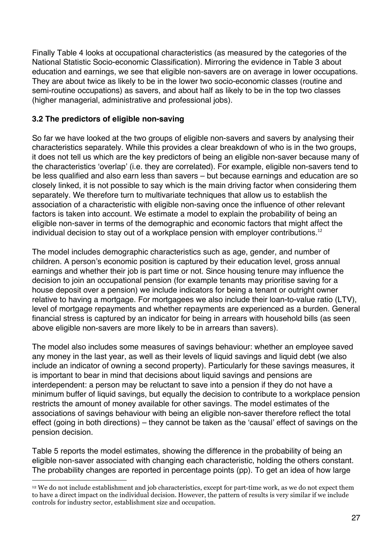Finally Table 4 looks at occupational characteristics (as measured by the categories of the National Statistic Socio-economic Classification). Mirroring the evidence in Table 3 about education and earnings, we see that eligible non-savers are on average in lower occupations. They are about twice as likely to be in the lower two socio-economic classes (routine and semi-routine occupations) as savers, and about half as likely to be in the top two classes (higher managerial, administrative and professional jobs).

#### **3.2 The predictors of eligible non-saving**

!!!!!!!!!!!!!!!!!!!!!!!!!!!!!!!!!!!!!!!!!!!!!!!!!!!!!!!!!!!!

So far we have looked at the two groups of eligible non-savers and savers by analysing their characteristics separately. While this provides a clear breakdown of who is in the two groups, it does not tell us which are the key predictors of being an eligible non-saver because many of the characteristics 'overlap' (i.e. they are correlated). For example, eligible non-savers tend to be less qualified and also earn less than savers – but because earnings and education are so closely linked, it is not possible to say which is the main driving factor when considering them separately. We therefore turn to multivariate techniques that allow us to establish the association of a characteristic with eligible non-saving once the influence of other relevant factors is taken into account. We estimate a model to explain the probability of being an eligible non-saver in terms of the demographic and economic factors that might affect the individual decision to stay out of a workplace pension with employer contributions.<sup>12</sup>

The model includes demographic characteristics such as age, gender, and number of children. A person's economic position is captured by their education level, gross annual earnings and whether their job is part time or not. Since housing tenure may influence the decision to join an occupational pension (for example tenants may prioritise saving for a house deposit over a pension) we include indicators for being a tenant or outright owner relative to having a mortgage. For mortgagees we also include their loan-to-value ratio (LTV), level of mortgage repayments and whether repayments are experienced as a burden. General financial stress is captured by an indicator for being in arrears with household bills (as seen above eligible non-savers are more likely to be in arrears than savers).

The model also includes some measures of savings behaviour: whether an employee saved any money in the last year, as well as their levels of liquid savings and liquid debt (we also include an indicator of owning a second property). Particularly for these savings measures, it is important to bear in mind that decisions about liquid savings and pensions are interdependent: a person may be reluctant to save into a pension if they do not have a minimum buffer of liquid savings, but equally the decision to contribute to a workplace pension restricts the amount of money available for other savings. The model estimates of the associations of savings behaviour with being an eligible non-saver therefore reflect the total effect (going in both directions) – they cannot be taken as the 'causal' effect of savings on the pension decision.

Table 5 reports the model estimates, showing the difference in the probability of being an eligible non-saver associated with changing each characteristic, holding the others constant. The probability changes are reported in percentage points (pp). To get an idea of how large

<sup>12</sup> We do not include establishment and job characteristics, except for part-time work, as we do not expect them to have a direct impact on the individual decision. However, the pattern of results is very similar if we include controls for industry sector, establishment size and occupation.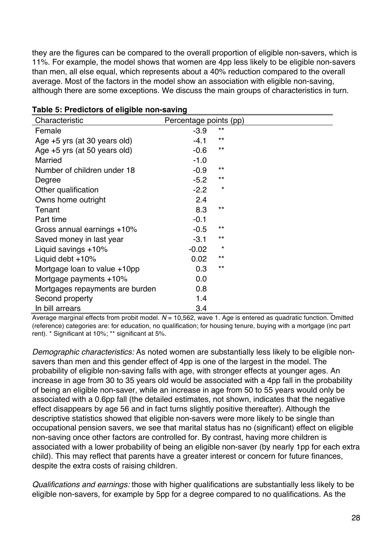they are the figures can be compared to the overall proportion of eligible non-savers, which is 11%. For example, the model shows that women are 4pp less likely to be eligible non-savers than men, all else equal, which represents about a 40% reduction compared to the overall average. Most of the factors in the model show an association with eligible non-saving, although there are some exceptions. We discuss the main groups of characteristics in turn.

| Characteristic                  | Percentage points (pp) |       |
|---------------------------------|------------------------|-------|
| Female                          | $-3.9$                 | $***$ |
| Age +5 yrs (at 30 years old)    | $-4.1$                 | $***$ |
| Age +5 yrs (at 50 years old)    | $-0.6$                 | $***$ |
| <b>Married</b>                  | $-1.0$                 |       |
| Number of children under 18     | $-0.9$                 | $***$ |
| Degree                          | $-5.2$                 | $***$ |
| Other qualification             | $-2.2$                 | *     |
| Owns home outright              | 2.4                    |       |
| Tenant                          | 8.3                    | $***$ |
| Part time                       | $-0.1$                 |       |
| Gross annual earnings +10%      | $-0.5$                 | $***$ |
| Saved money in last year        | $-3.1$                 | $***$ |
| Liquid savings +10%             | $-0.02$                | *     |
| Liquid debt +10%                | 0.02                   | $***$ |
| Mortgage loan to value +10pp    | 0.3                    | $***$ |
| Mortgage payments $+10\%$       | 0.0                    |       |
| Mortgages repayments are burden | 0.8                    |       |
| Second property                 | 1.4                    |       |
| In bill arrears                 | 3.4                    |       |

#### **Table 5: Predictors of eligible non-saving**

Average marginal effects from probit model. *N* = 10,562, wave 1. Age is entered as quadratic function. Omitted (reference) categories are: for education, no qualification; for housing tenure, buying with a mortgage (inc part rent). \* Significant at 10%; \*\* significant at 5%.

*Demographic characteristics:* As noted women are substantially less likely to be eligible nonsavers than men and this gender effect of 4pp is one of the largest in the model. The probability of eligible non-saving falls with age, with stronger effects at younger ages. An increase in age from 30 to 35 years old would be associated with a 4pp fall in the probability of being an eligible non-saver, while an increase in age from 50 to 55 years would only be associated with a 0.6pp fall (the detailed estimates, not shown, indicates that the negative effect disappears by age 56 and in fact turns slightly positive thereafter). Although the descriptive statistics showed that eligible non-savers were more likely to be single than occupational pension savers, we see that marital status has no (significant) effect on eligible non-saving once other factors are controlled for. By contrast, having more children is associated with a lower probability of being an eligible non-saver (by nearly 1pp for each extra child). This may reflect that parents have a greater interest or concern for future finances, despite the extra costs of raising children.

*Qualifications and earnings:* those with higher qualifications are substantially less likely to be eligible non-savers, for example by 5pp for a degree compared to no qualifications. As the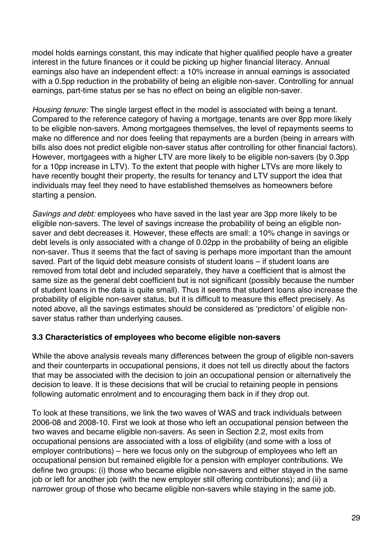model holds earnings constant, this may indicate that higher qualified people have a greater interest in the future finances or it could be picking up higher financial literacy. Annual earnings also have an independent effect: a 10% increase in annual earnings is associated with a 0.5pp reduction in the probability of being an eligible non-saver. Controlling for annual earnings, part-time status per se has no effect on being an eligible non-saver.

*Housing tenure:* The single largest effect in the model is associated with being a tenant. Compared to the reference category of having a mortgage, tenants are over 8pp more likely to be eligible non-savers. Among mortgagees themselves, the level of repayments seems to make no difference and nor does feeling that repayments are a burden (being in arrears with bills also does not predict eligible non-saver status after controlling for other financial factors). However, mortgagees with a higher LTV are more likely to be eligible non-savers (by 0.3pp for a 10pp increase in LTV). To the extent that people with higher LTVs are more likely to have recently bought their property, the results for tenancy and LTV support the idea that individuals may feel they need to have established themselves as homeowners before starting a pension.

*Savings and debt:* employees who have saved in the last year are 3pp more likely to be eligible non-savers. The level of savings increase the probability of being an eligible nonsaver and debt decreases it. However, these effects are small: a 10% change in savings or debt levels is only associated with a change of 0.02pp in the probability of being an eligible non-saver. Thus it seems that the fact of saving is perhaps more important than the amount saved. Part of the liquid debt measure consists of student loans – if student loans are removed from total debt and included separately, they have a coefficient that is almost the same size as the general debt coefficient but is not significant (possibly because the number of student loans in the data is quite small). Thus it seems that student loans also increase the probability of eligible non-saver status, but it is difficult to measure this effect precisely. As noted above, all the savings estimates should be considered as 'predictors' of eligible nonsaver status rather than underlying causes.

#### **3.3 Characteristics of employees who become eligible non-savers**

While the above analysis reveals many differences between the group of eligible non-savers and their counterparts in occupational pensions, it does not tell us directly about the factors that may be associated with the decision to join an occupational pension or alternatively the decision to leave. It is these decisions that will be crucial to retaining people in pensions following automatic enrolment and to encouraging them back in if they drop out.

To look at these transitions, we link the two waves of WAS and track individuals between 2006-08 and 2008-10. First we look at those who left an occupational pension between the two waves and became eligible non-savers. As seen in Section 2.2, most exits from occupational pensions are associated with a loss of eligibility (and some with a loss of employer contributions) – here we focus only on the subgroup of employees who left an occupational pension but remained eligible for a pension with employer contributions. We define two groups: (i) those who became eligible non-savers and either stayed in the same job or left for another job (with the new employer still offering contributions); and (ii) a narrower group of those who became eligible non-savers while staying in the same job.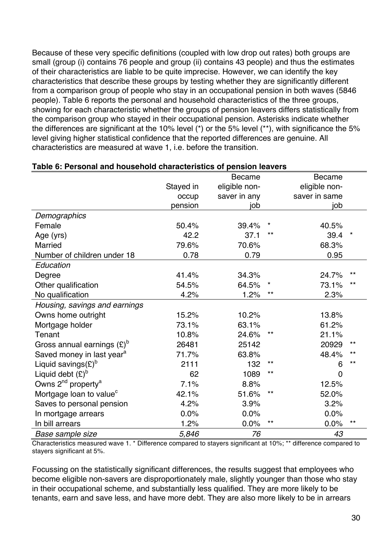Because of these very specific definitions (coupled with low drop out rates) both groups are small (group (i) contains 76 people and group (ii) contains 43 people) and thus the estimates of their characteristics are liable to be quite imprecise. However, we can identify the key characteristics that describe these groups by testing whether they are significantly different from a comparison group of people who stay in an occupational pension in both waves (5846 people). Table 6 reports the personal and household characteristics of the three groups, showing for each characteristic whether the groups of pension leavers differs statistically from the comparison group who stayed in their occupational pension. Asterisks indicate whether the differences are significant at the 10% level (\*) or the 5% level (\*\*), with significance the 5% level giving higher statistical confidence that the reported differences are genuine. All characteristics are measured at wave 1, i.e. before the transition.

|                                            |           | <b>Became</b> |              | <b>Became</b>  |              |
|--------------------------------------------|-----------|---------------|--------------|----------------|--------------|
|                                            | Stayed in | eligible non- |              | eligible non-  |              |
|                                            | occup     | saver in any  |              | saver in same  |              |
|                                            | pension   | job           |              | job            |              |
| <b>Demographics</b>                        |           |               |              |                |              |
| Female                                     | 50.4%     | 39.4%         | *            | 40.5%          |              |
| Age (yrs)                                  | 42.2      | 37.1          | **           | 39.4           |              |
| <b>Married</b>                             | 79.6%     | 70.6%         |              | 68.3%          |              |
| Number of children under 18                | 0.78      | 0.79          |              | 0.95           |              |
| Education                                  |           |               |              |                |              |
| Degree                                     | 41.4%     | 34.3%         |              | 24.7%          | $***$        |
| Other qualification                        | 54.5%     | 64.5%         | *            | 73.1%          | $***$        |
| No qualification                           | 4.2%      | 1.2%          | $\star\star$ | 2.3%           |              |
| Housing, savings and earnings              |           |               |              |                |              |
| Owns home outright                         | 15.2%     | 10.2%         |              | 13.8%          |              |
| Mortgage holder                            | 73.1%     | 63.1%         |              | 61.2%          |              |
| Tenant                                     | 10.8%     | 24.6%         | **           | 21.1%          |              |
| Gross annual earnings $(E)^b$              | 26481     | 25142         |              | 20929          | $\star\star$ |
| Saved money in last year <sup>a</sup>      | 71.7%     | 63.8%         |              | 48.4%          | $***$        |
| Liquid savings(£) <sup>b</sup>             | 2111      | 132           | $\star\star$ | 6              | $***$        |
| Liquid debt $(E)^b$                        | 62        | 1089          | **           | $\overline{0}$ |              |
| Owns 2 <sup>nd</sup> property <sup>a</sup> | 7.1%      | 8.8%          |              | 12.5%          |              |
| Mortgage loan to value <sup>c</sup>        | 42.1%     | 51.6%         | $\star\star$ | 52.0%          |              |
| Saves to personal pension                  | 4.2%      | 3.9%          |              | 3.2%           |              |
| In mortgage arrears                        | 0.0%      | 0.0%          |              | 0.0%           |              |
| In bill arrears                            | 1.2%      | 0.0%          | $\star\star$ | 0.0%           | $\star\star$ |
| Base sample size                           | 5,846     | 76            |              | 43             |              |

#### **Table 6: Personal and household characteristics of pension leavers**

Characteristics measured wave 1. \* Difference compared to stayers significant at 10%; \*\* difference compared to stayers significant at 5%.

Focussing on the statistically significant differences, the results suggest that employees who become eligible non-savers are disproportionately male, slightly younger than those who stay in their occupational scheme, and substantially less qualified. They are more likely to be tenants, earn and save less, and have more debt. They are also more likely to be in arrears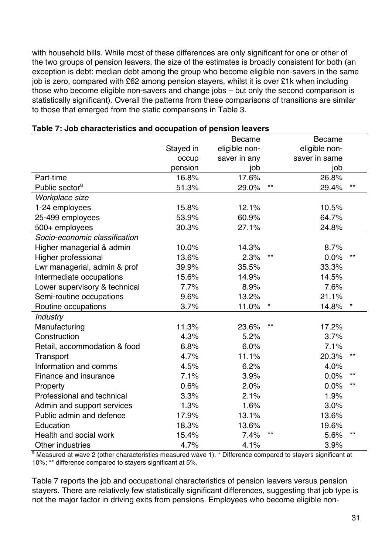with household bills. While most of these differences are only significant for one or other of the two groups of pension leavers, the size of the estimates is broadly consistent for both (an exception is debt: median debt among the group who become eligible non-savers in the same job is zero, compared with £62 among pension stayers, whilst it is over £1k when including those who become eligible non-savers and change jobs – but only the second comparison is statistically significant). Overall the patterns from these comparisons of transitions are similar to those that emerged from the static comparisons in Table 3.

|                               |           | <b>Became</b> |       | <b>Became</b> |              |
|-------------------------------|-----------|---------------|-------|---------------|--------------|
|                               | Stayed in | eligible non- |       | eligible non- |              |
|                               | occup     | saver in any  |       | saver in same |              |
|                               | pension   | job           |       | job           |              |
| Part-time                     | 16.8%     | 17.6%         |       | 26.8%         |              |
| Public sector <sup>a</sup>    | 51.3%     | 29.0%         | $***$ | 29.4%         | $***$        |
| Workplace size                |           |               |       |               |              |
| 1-24 employees                | 15.8%     | 12.1%         |       | 10.5%         |              |
| 25-499 employees              | 53.9%     | 60.9%         |       | 64.7%         |              |
| 500+ employees                | 30.3%     | 27.1%         |       | 24.8%         |              |
| Socio-economic classification |           |               |       |               |              |
| Higher managerial & admin     | 10.0%     | 14.3%         |       | 8.7%          |              |
| Higher professional           | 13.6%     | 2.3%          | **    | 0.0%          | $***$        |
| Lwr managerial, admin & prof  | 39.9%     | 35.5%         |       | 33.3%         |              |
| Intermediate occupations      | 15.6%     | 14.9%         |       | 14.5%         |              |
| Lower supervisory & technical | 7.7%      | 8.9%          |       | 7.6%          |              |
| Semi-routine occupations      | 9.6%      | 13.2%         |       | 21.1%         |              |
| Routine occupations           | 3.7%      | 11.0%         |       | 14.8%         | $\star$      |
| Industry                      |           |               |       |               |              |
| Manufacturing                 | 11.3%     | 23.6%         | **    | 17.2%         |              |
| Construction                  | 4.3%      | 5.2%          |       | 3.7%          |              |
| Retail, accommodation & food  | 6.8%      | 6.0%          |       | 7.1%          |              |
| Transport                     | 4.7%      | 11.1%         |       | 20.3%         | $\star\star$ |
| Information and comms         | 4.5%      | 6.2%          |       | 4.0%          |              |
| Finance and insurance         | 7.1%      | 3.9%          |       | 0.0%          | $***$        |
| Property                      | 0.6%      | 2.0%          |       | 0.0%          | $\star\star$ |
| Professional and technical    | 3.3%      | 2.1%          |       | 1.9%          |              |
| Admin and support services    | 1.3%      | 1.6%          |       | 3.0%          |              |
| Public admin and defence      | 17.9%     | 13.1%         |       | 13.6%         |              |
| Education                     | 18.3%     | 13.6%         |       | 19.6%         |              |
| Health and social work        | 15.4%     | 7.4%          | **    | 5.6%          | $***$        |
| Other industries              | 4.7%      | 4.1%          |       | 3.9%          |              |

#### **Table 7: Job characteristics and occupation of pension leavers**

<sup>a</sup> Measured at wave 2 (other characteristics measured wave 1). \* Difference compared to stayers significant at 10%; \*\* difference compared to stayers significant at 5%.

Table 7 reports the job and occupational characteristics of pension leavers versus pension stayers. There are relatively few statistically significant differences, suggesting that job type is not the major factor in driving exits from pensions. Employees who become eligible non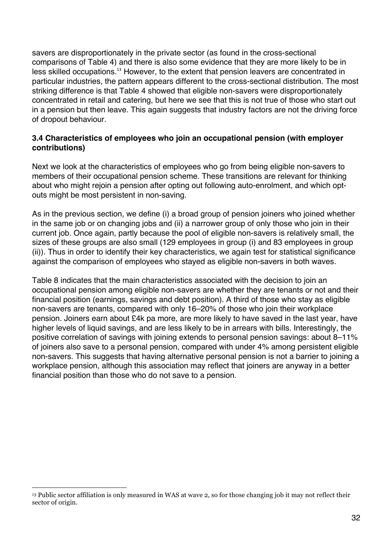savers are disproportionately in the private sector (as found in the cross-sectional comparisons of Table 4) and there is also some evidence that they are more likely to be in less skilled occupations.<sup>13</sup> However, to the extent that pension leavers are concentrated in particular industries, the pattern appears different to the cross-sectional distribution. The most striking difference is that Table 4 showed that eligible non-savers were disproportionately concentrated in retail and catering, but here we see that this is not true of those who start out in a pension but then leave. This again suggests that industry factors are not the driving force of dropout behaviour.

#### **3.4 Characteristics of employees who join an occupational pension (with employer contributions)**

Next we look at the characteristics of employees who go from being eligible non-savers to members of their occupational pension scheme. These transitions are relevant for thinking about who might rejoin a pension after opting out following auto-enrolment, and which optouts might be most persistent in non-saving.

As in the previous section, we define (i) a broad group of pension joiners who joined whether in the same job or on changing jobs and (ii) a narrower group of only those who join in their current job. Once again, partly because the pool of eligible non-savers is relatively small, the sizes of these groups are also small (129 employees in group (i) and 83 employees in group (ii)). Thus in order to identify their key characteristics, we again test for statistical significance against the comparison of employees who stayed as eligible non-savers in both waves.

Table 8 indicates that the main characteristics associated with the decision to join an occupational pension among eligible non-savers are whether they are tenants or not and their financial position (earnings, savings and debt position). A third of those who stay as eligible non-savers are tenants, compared with only 16–20% of those who join their workplace pension. Joiners earn about £4k pa more, are more likely to have saved in the last year, have higher levels of liquid savings, and are less likely to be in arrears with bills. Interestingly, the positive correlation of savings with joining extends to personal pension savings: about 8–11% of joiners also save to a personal pension, compared with under 4% among persistent eligible non-savers. This suggests that having alternative personal pension is not a barrier to joining a workplace pension, although this association may reflect that joiners are anyway in a better financial position than those who do not save to a pension.

<sup>!!!!!!!!!!!!!!!!!!!!!!!!!!!!!!!!!!!!!!!!!!!!!!!!!!!!!!!!!!!!</sup> <sup>13</sup> Public sector affiliation is only measured in WAS at wave 2, so for those changing job it may not reflect their sector of origin.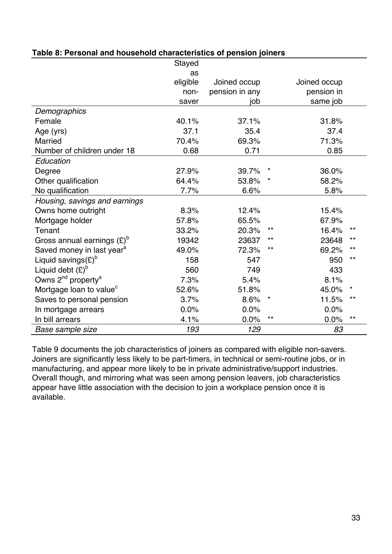|                                            | Stayed   |                |              |              |                 |
|--------------------------------------------|----------|----------------|--------------|--------------|-----------------|
|                                            | as       |                |              |              |                 |
|                                            | eligible | Joined occup   |              | Joined occup |                 |
|                                            | non-     | pension in any |              | pension in   |                 |
|                                            | saver    | job            |              | same job     |                 |
| Demographics                               |          |                |              |              |                 |
| Female                                     | 40.1%    | 37.1%          |              | 31.8%        |                 |
| Age (yrs)                                  | 37.1     | 35.4           |              | 37.4         |                 |
| <b>Married</b>                             | 70.4%    | 69.3%          |              | 71.3%        |                 |
| Number of children under 18                | 0.68     | 0.71           |              | 0.85         |                 |
| Education                                  |          |                |              |              |                 |
| Degree                                     | 27.9%    | 39.7%          |              | 36.0%        |                 |
| Other qualification                        | 64.4%    | 53.8%          |              | 58.2%        |                 |
| No qualification                           | 7.7%     | 6.6%           |              | 5.8%         |                 |
| Housing, savings and earnings              |          |                |              |              |                 |
| Owns home outright                         | 8.3%     | 12.4%          |              | 15.4%        |                 |
| Mortgage holder                            | 57.8%    | 65.5%          |              | 67.9%        |                 |
| Tenant                                     | 33.2%    | 20.3%          | $\star\star$ | 16.4%        | $^{\star\star}$ |
| Gross annual earnings $(E)^b$              | 19342    | 23637          | $***$        | 23648        | $***$           |
| Saved money in last year <sup>a</sup>      | 49.0%    | 72.3%          | $***$        | 69.2%        | $***$           |
| Liquid savings( $E$ ) <sup>b</sup>         | 158      | 547            |              | 950          | $***$           |
| Liquid debt $(E)^b$                        | 560      | 749            |              | 433          |                 |
| Owns 2 <sup>nd</sup> property <sup>a</sup> | 7.3%     | 5.4%           |              | 8.1%         |                 |
| Mortgage loan to value <sup>c</sup>        | 52.6%    | 51.8%          |              | 45.0%        |                 |
| Saves to personal pension                  | 3.7%     | 8.6%           |              | 11.5%        | $***$           |
| In mortgage arrears                        | 0.0%     | 0.0%           |              | 0.0%         |                 |
| In bill arrears                            | 4.1%     | 0.0%           | $\star\star$ | 0.0%         | $\star\star$    |
| Base sample size                           | 193      | 129            |              | 83           |                 |

#### **Table 8: Personal and household characteristics of pension joiners**

Table 9 documents the job characteristics of joiners as compared with eligible non-savers. Joiners are significantly less likely to be part-timers, in technical or semi-routine jobs, or in manufacturing, and appear more likely to be in private administrative/support industries. Overall though, and mirroring what was seen among pension leavers, job characteristics appear have little association with the decision to join a workplace pension once it is available.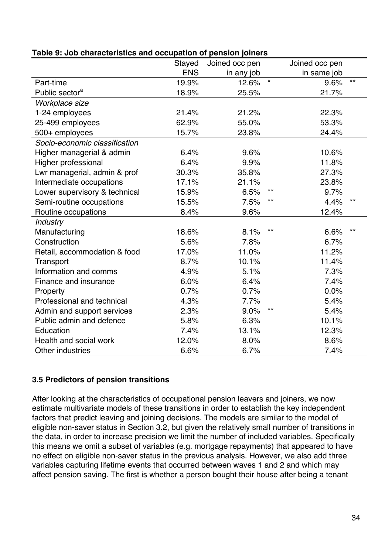|                               | Stayed     | Joined occ pen |                 | Joined occ pen |              |
|-------------------------------|------------|----------------|-----------------|----------------|--------------|
|                               | <b>ENS</b> | in any job     |                 | in same job    |              |
| Part-time                     | 19.9%      | 12.6%          | $\star$         | 9.6%           | $***$        |
| Public sector <sup>a</sup>    | 18.9%      | 25.5%          |                 | 21.7%          |              |
| Workplace size                |            |                |                 |                |              |
| 1-24 employees                | 21.4%      | 21.2%          |                 | 22.3%          |              |
| 25-499 employees              | 62.9%      | 55.0%          |                 | 53.3%          |              |
| 500+ employees                | 15.7%      | 23.8%          |                 | 24.4%          |              |
| Socio-economic classification |            |                |                 |                |              |
| Higher managerial & admin     | 6.4%       | 9.6%           |                 | 10.6%          |              |
| Higher professional           | 6.4%       | 9.9%           |                 | 11.8%          |              |
| Lwr managerial, admin & prof  | 30.3%      | 35.8%          |                 | 27.3%          |              |
| Intermediate occupations      | 17.1%      | 21.1%          |                 | 23.8%          |              |
| Lower supervisory & technical | 15.9%      | 6.5%           | $***$           | 9.7%           |              |
| Semi-routine occupations      | 15.5%      | 7.5%           | $***$           | 4.4%           | $***$        |
| Routine occupations           | 8.4%       | 9.6%           |                 | 12.4%          |              |
| <b>Industry</b>               |            |                |                 |                |              |
| Manufacturing                 | 18.6%      | 8.1%           | $***$           | 6.6%           | $\star\star$ |
| Construction                  | 5.6%       | 7.8%           |                 | 6.7%           |              |
| Retail, accommodation & food  | 17.0%      | 11.0%          |                 | 11.2%          |              |
| Transport                     | 8.7%       | 10.1%          |                 | 11.4%          |              |
| Information and comms         | 4.9%       | 5.1%           |                 | 7.3%           |              |
| Finance and insurance         | 6.0%       | 6.4%           |                 | 7.4%           |              |
| Property                      | 0.7%       | 0.7%           |                 | 0.0%           |              |
| Professional and technical    | 4.3%       | 7.7%           |                 | 5.4%           |              |
| Admin and support services    | 2.3%       | 9.0%           | $^{\star\star}$ | 5.4%           |              |
| Public admin and defence      | 5.8%       | 6.3%           |                 | 10.1%          |              |
| Education                     | 7.4%       | 13.1%          |                 | 12.3%          |              |
| Health and social work        | 12.0%      | 8.0%           |                 | 8.6%           |              |
| Other industries              | 6.6%       | 6.7%           |                 | 7.4%           |              |

#### **Table 9: Job characteristics and occupation of pension joiners**

#### **3.5 Predictors of pension transitions**

After looking at the characteristics of occupational pension leavers and joiners, we now estimate multivariate models of these transitions in order to establish the key independent factors that predict leaving and joining decisions. The models are similar to the model of eligible non-saver status in Section 3.2, but given the relatively small number of transitions in the data, in order to increase precision we limit the number of included variables. Specifically this means we omit a subset of variables (e.g. mortgage repayments) that appeared to have no effect on eligible non-saver status in the previous analysis. However, we also add three variables capturing lifetime events that occurred between waves 1 and 2 and which may affect pension saving. The first is whether a person bought their house after being a tenant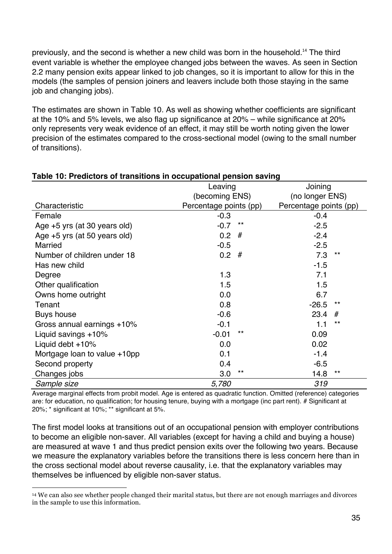previously, and the second is whether a new child was born in the household.<sup>14</sup> The third event variable is whether the employee changed jobs between the waves. As seen in Section 2.2 many pension exits appear linked to job changes, so it is important to allow for this in the models (the samples of pension joiners and leavers include both those staying in the same job and changing jobs).

The estimates are shown in Table 10. As well as showing whether coefficients are significant at the 10% and 5% levels, we also flag up significance at 20% – while significance at 20% only represents very weak evidence of an effect, it may still be worth noting given the lower precision of the estimates compared to the cross-sectional model (owing to the small number of transitions).

| rable TV. I Tealcluis UI transitions in occupational pension saving |                        |       |                        |       |  |
|---------------------------------------------------------------------|------------------------|-------|------------------------|-------|--|
|                                                                     | Leaving                |       | Joining                |       |  |
|                                                                     | (becoming ENS)         |       | (no longer ENS)        |       |  |
| Characteristic                                                      | Percentage points (pp) |       | Percentage points (pp) |       |  |
| Female                                                              | $-0.3$                 |       | $-0.4$                 |       |  |
| Age +5 yrs (at 30 years old)                                        | $-0.7$                 | $***$ | $-2.5$                 |       |  |
| Age +5 yrs (at 50 years old)                                        | 0.2                    | #     | $-2.4$                 |       |  |
| <b>Married</b>                                                      | $-0.5$                 |       | $-2.5$                 |       |  |
| Number of children under 18                                         | $0.2$ #                |       | 7.3                    | $***$ |  |
| Has new child                                                       |                        |       | $-1.5$                 |       |  |
| Degree                                                              | 1.3                    |       | 7.1                    |       |  |
| Other qualification                                                 | 1.5                    |       | 1.5                    |       |  |
| Owns home outright                                                  | 0.0                    |       | 6.7                    |       |  |
| Tenant                                                              | 0.8                    |       | $-26.5$                | $***$ |  |
| Buys house                                                          | $-0.6$                 |       | 23.4                   | #     |  |
| Gross annual earnings +10%                                          | $-0.1$                 |       | 1.1                    | $***$ |  |
| Liquid savings +10%                                                 | $-0.01$                | $***$ | 0.09                   |       |  |
| Liquid debt $+10\%$                                                 | 0.0                    |       | 0.02                   |       |  |
| Mortgage loan to value +10pp                                        | 0.1                    |       | $-1.4$                 |       |  |
| Second property                                                     | 0.4                    |       | $-6.5$                 |       |  |
| Changes jobs                                                        | 3.0                    | $***$ | 14.8                   | $***$ |  |
| Sample size                                                         | 5,780                  |       | 319                    |       |  |

#### **Table 10: Predictors of transitions in occupational pension saving**

Average marginal effects from probit model. Age is entered as quadratic function. Omitted (reference) categories are: for education, no qualification; for housing tenure, buying with a mortgage (inc part rent). # Significant at 20%; \* significant at 10%; \*\* significant at 5%.

The first model looks at transitions out of an occupational pension with employer contributions to become an eligible non-saver. All variables (except for having a child and buying a house) are measured at wave 1 and thus predict pension exits over the following two years. Because we measure the explanatory variables before the transitions there is less concern here than in the cross sectional model about reverse causality, i.e. that the explanatory variables may themselves be influenced by eligible non-saver status.

!!!!!!!!!!!!!!!!!!!!!!!!!!!!!!!!!!!!!!!!!!!!!!!!!!!!!!!!!!!!

<sup>14</sup> We can also see whether people changed their marital status, but there are not enough marriages and divorces in the sample to use this information.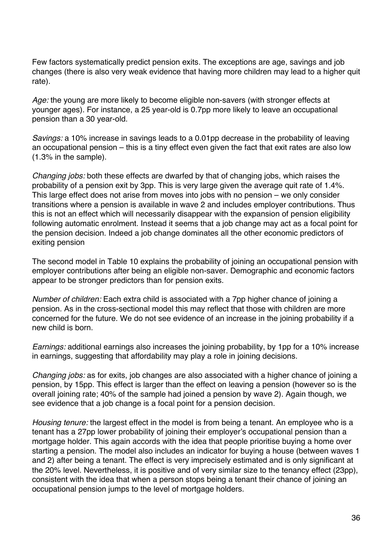Few factors systematically predict pension exits. The exceptions are age, savings and job changes (there is also very weak evidence that having more children may lead to a higher quit rate).

Age: the young are more likely to become eligible non-savers (with stronger effects at younger ages). For instance, a 25 year-old is 0.7pp more likely to leave an occupational pension than a 30 year-old.

*Savings:* a 10% increase in savings leads to a 0.01pp decrease in the probability of leaving an occupational pension – this is a tiny effect even given the fact that exit rates are also low (1.3% in the sample).

*Changing jobs:* both these effects are dwarfed by that of changing jobs, which raises the probability of a pension exit by 3pp. This is very large given the average quit rate of 1.4%. This large effect does not arise from moves into jobs with no pension – we only consider transitions where a pension is available in wave 2 and includes employer contributions. Thus this is not an effect which will necessarily disappear with the expansion of pension eligibility following automatic enrolment. Instead it seems that a job change may act as a focal point for the pension decision. Indeed a job change dominates all the other economic predictors of exiting pension

The second model in Table 10 explains the probability of joining an occupational pension with employer contributions after being an eligible non-saver. Demographic and economic factors appear to be stronger predictors than for pension exits.

*Number of children:* Each extra child is associated with a 7pp higher chance of joining a pension. As in the cross-sectional model this may reflect that those with children are more concerned for the future. We do not see evidence of an increase in the joining probability if a new child is born.

*Earnings:* additional earnings also increases the joining probability, by 1pp for a 10% increase in earnings, suggesting that affordability may play a role in joining decisions.

*Changing jobs:* as for exits, job changes are also associated with a higher chance of joining a pension, by 15pp. This effect is larger than the effect on leaving a pension (however so is the overall joining rate; 40% of the sample had joined a pension by wave 2). Again though, we see evidence that a job change is a focal point for a pension decision.

*Housing tenure:* the largest effect in the model is from being a tenant. An employee who is a tenant has a 27pp lower probability of joining their employer's occupational pension than a mortgage holder. This again accords with the idea that people prioritise buying a home over starting a pension. The model also includes an indicator for buying a house (between waves 1 and 2) after being a tenant. The effect is very imprecisely estimated and is only significant at the 20% level. Nevertheless, it is positive and of very similar size to the tenancy effect (23pp), consistent with the idea that when a person stops being a tenant their chance of joining an occupational pension jumps to the level of mortgage holders.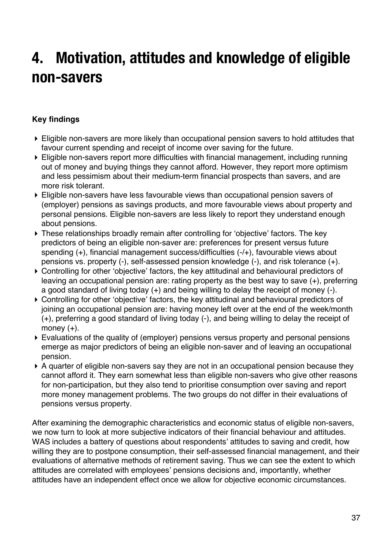### **4. Motivation, attitudes and knowledge of eligible non-savers**

#### **Key findings**

- ! Eligible non-savers are more likely than occupational pension savers to hold attitudes that favour current spending and receipt of income over saving for the future.
- ! Eligible non-savers report more difficulties with financial management, including running out of money and buying things they cannot afford. However, they report more optimism and less pessimism about their medium-term financial prospects than savers, and are more risk tolerant.
- ! Eligible non-savers have less favourable views than occupational pension savers of (employer) pensions as savings products, and more favourable views about property and personal pensions. Eligible non-savers are less likely to report they understand enough about pensions.
- ! These relationships broadly remain after controlling for 'objective' factors. The key predictors of being an eligible non-saver are: preferences for present versus future spending (+), financial management success/difficulties (-/+), favourable views about pensions vs. property (-), self-assessed pension knowledge (-), and risk tolerance (+).
- ! Controlling for other 'objective' factors, the key attitudinal and behavioural predictors of leaving an occupational pension are: rating property as the best way to save (+), preferring a good standard of living today (+) and being willing to delay the receipt of money (-).
- ! Controlling for other 'objective' factors, the key attitudinal and behavioural predictors of joining an occupational pension are: having money left over at the end of the week/month (+), preferring a good standard of living today (-), and being willing to delay the receipt of money (+).
- ! Evaluations of the quality of (employer) pensions versus property and personal pensions emerge as major predictors of being an eligible non-saver and of leaving an occupational pension.
- ! A quarter of eligible non-savers say they are not in an occupational pension because they cannot afford it. They earn somewhat less than eligible non-savers who give other reasons for non-participation, but they also tend to prioritise consumption over saving and report more money management problems. The two groups do not differ in their evaluations of pensions versus property.

After examining the demographic characteristics and economic status of eligible non-savers, we now turn to look at more subjective indicators of their financial behaviour and attitudes. WAS includes a battery of questions about respondents' attitudes to saving and credit, how willing they are to postpone consumption, their self-assessed financial management, and their evaluations of alternative methods of retirement saving. Thus we can see the extent to which attitudes are correlated with employees' pensions decisions and, importantly, whether attitudes have an independent effect once we allow for objective economic circumstances.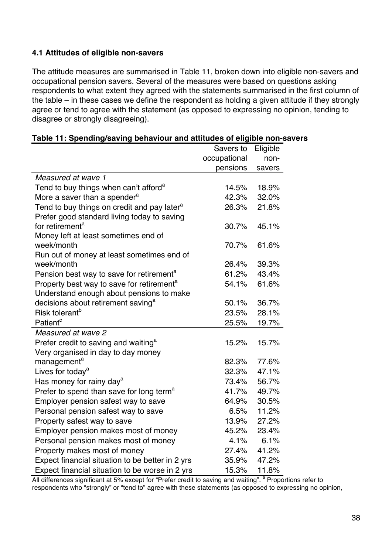#### **4.1 Attitudes of eligible non-savers**

The attitude measures are summarised in Table 11, broken down into eligible non-savers and occupational pension savers. Several of the measures were based on questions asking respondents to what extent they agreed with the statements summarised in the first column of the table – in these cases we define the respondent as holding a given attitude if they strongly agree or tend to agree with the statement (as opposed to expressing no opinion, tending to disagree or strongly disagreeing).

|                                                         | Savers to    | Eligible |
|---------------------------------------------------------|--------------|----------|
|                                                         | occupational | non-     |
|                                                         | pensions     | savers   |
| Measured at wave 1                                      |              |          |
| Tend to buy things when can't afford <sup>a</sup>       | 14.5%        | 18.9%    |
| More a saver than a spender <sup>a</sup>                | 42.3%        | 32.0%    |
| Tend to buy things on credit and pay later <sup>a</sup> | 26.3%        | 21.8%    |
| Prefer good standard living today to saving             |              |          |
| for retirement <sup>a</sup>                             | 30.7%        | 45.1%    |
| Money left at least sometimes end of                    |              |          |
| week/month                                              | 70.7%        | 61.6%    |
| Run out of money at least sometimes end of              |              |          |
| week/month                                              | 26.4%        | 39.3%    |
| Pension best way to save for retirement <sup>a</sup>    | 61.2%        | 43.4%    |
| Property best way to save for retirement <sup>a</sup>   | 54.1%        | 61.6%    |
| Understand enough about pensions to make                |              |          |
| decisions about retirement saving <sup>a</sup>          | 50.1%        | 36.7%    |
| Risk tolerant <sup>b</sup>                              | 23.5%        | 28.1%    |
| Patient <sup>c</sup>                                    | 25.5%        | 19.7%    |
| Measured at wave 2                                      |              |          |
| Prefer credit to saving and waiting <sup>a</sup>        | 15.2%        | 15.7%    |
| Very organised in day to day money                      |              |          |
| management <sup>a</sup>                                 | 82.3%        | 77.6%    |
| Lives for today <sup>a</sup>                            | 32.3%        | 47.1%    |
| Has money for rainy day <sup>a</sup>                    | 73.4%        | 56.7%    |
| Prefer to spend than save for long term <sup>a</sup>    | 41.7%        | 49.7%    |
| Employer pension safest way to save                     | 64.9%        | 30.5%    |
| Personal pension safest way to save                     | 6.5%         | 11.2%    |
| Property safest way to save                             | 13.9%        | 27.2%    |
| Employer pension makes most of money                    | 45.2%        | 23.4%    |
| Personal pension makes most of money                    | 4.1%         | 6.1%     |
| Property makes most of money                            | 27.4%        | 41.2%    |
| Expect financial situation to be better in 2 yrs        | 35.9%        | 47.2%    |
| Expect financial situation to be worse in 2 yrs         | 15.3%        | 11.8%    |

All differences significant at 5% except for "Prefer credit to saving and waiting". <sup>a</sup> Proportions refer to respondents who "strongly" or "tend to" agree with these statements (as opposed to expressing no opinion,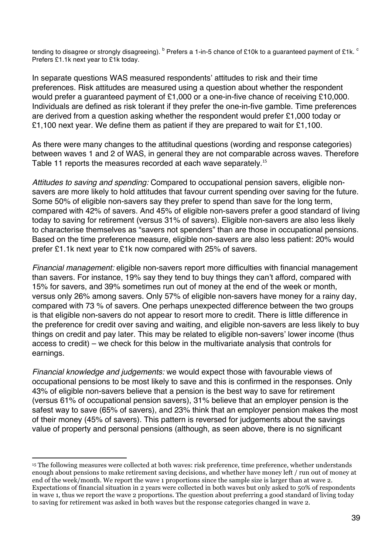tending to disagree or strongly disagreeing).  $b$  Prefers a 1-in-5 chance of £10k to a guaranteed payment of £1k.  $c$ Prefers £1.1k next year to £1k today.

In separate questions WAS measured respondents' attitudes to risk and their time preferences. Risk attitudes are measured using a question about whether the respondent would prefer a guaranteed payment of £1,000 or a one-in-five chance of receiving £10,000. Individuals are defined as risk tolerant if they prefer the one-in-five gamble. Time preferences are derived from a question asking whether the respondent would prefer £1,000 today or £1,100 next year. We define them as patient if they are prepared to wait for £1,100.

As there were many changes to the attitudinal questions (wording and response categories) between waves 1 and 2 of WAS, in general they are not comparable across waves. Therefore Table 11 reports the measures recorded at each wave separately.<sup>15</sup>

*Attitudes to saving and spending:* Compared to occupational pension savers, eligible nonsavers are more likely to hold attitudes that favour current spending over saving for the future. Some 50% of eligible non-savers say they prefer to spend than save for the long term, compared with 42% of savers. And 45% of eligible non-savers prefer a good standard of living today to saving for retirement (versus 31% of savers). Eligible non-savers are also less likely to characterise themselves as "savers not spenders" than are those in occupational pensions. Based on the time preference measure, eligible non-savers are also less patient: 20% would prefer £1.1k next year to £1k now compared with 25% of savers.

*Financial management:* eligible non-savers report more difficulties with financial management than savers. For instance, 19% say they tend to buy things they can't afford, compared with 15% for savers, and 39% sometimes run out of money at the end of the week or month, versus only 26% among savers. Only 57% of eligible non-savers have money for a rainy day, compared with 73 % of savers. One perhaps unexpected difference between the two groups is that eligible non-savers do not appear to resort more to credit. There is little difference in the preference for credit over saving and waiting, and eligible non-savers are less likely to buy things on credit and pay later. This may be related to eligible non-savers' lower income (thus access to credit) – we check for this below in the multivariate analysis that controls for earnings.

*Financial knowledge and judgements:* we would expect those with favourable views of occupational pensions to be most likely to save and this is confirmed in the responses. Only 43% of eligible non-savers believe that a pension is the best way to save for retirement (versus 61% of occupational pension savers), 31% believe that an employer pension is the safest way to save (65% of savers), and 23% think that an employer pension makes the most of their money (45% of savers). This pattern is reversed for judgements about the savings value of property and personal pensions (although, as seen above, there is no significant

<sup>!!!!!!!!!!!!!!!!!!!!!!!!!!!!!!!!!!!!!!!!!!!!!!!!!!!!!!!!!!!!</sup> <sup>15</sup> The following measures were collected at both waves: risk preference, time preference, whether understands enough about pensions to make retirement saving decisions, and whether have money left / run out of money at end of the week/month. We report the wave 1 proportions since the sample size is larger than at wave 2. Expectations of financial situation in 2 years were collected in both waves but only asked to 50% of respondents in wave 1, thus we report the wave 2 proportions. The question about preferring a good standard of living today to saving for retirement was asked in both waves but the response categories changed in wave 2.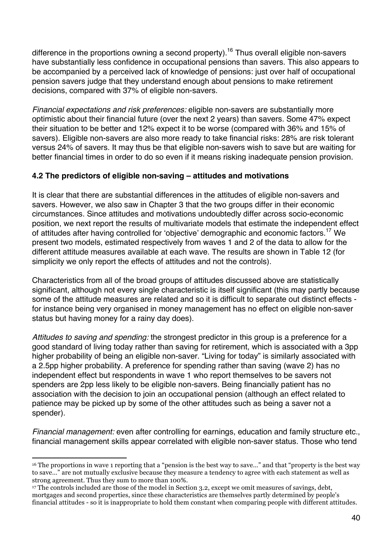difference in the proportions owning a second property).<sup>16</sup> Thus overall eligible non-savers have substantially less confidence in occupational pensions than savers. This also appears to be accompanied by a perceived lack of knowledge of pensions: just over half of occupational pension savers judge that they understand enough about pensions to make retirement decisions, compared with 37% of eligible non-savers.

*Financial expectations and risk preferences:* eligible non-savers are substantially more optimistic about their financial future (over the next 2 years) than savers. Some 47% expect their situation to be better and 12% expect it to be worse (compared with 36% and 15% of savers). Eligible non-savers are also more ready to take financial risks: 28% are risk tolerant versus 24% of savers. It may thus be that eligible non-savers wish to save but are waiting for better financial times in order to do so even if it means risking inadequate pension provision.

#### **4.2 The predictors of eligible non-saving – attitudes and motivations**

It is clear that there are substantial differences in the attitudes of eligible non-savers and savers. However, we also saw in Chapter 3 that the two groups differ in their economic circumstances. Since attitudes and motivations undoubtedly differ across socio-economic position, we next report the results of multivariate models that estimate the independent effect of attitudes after having controlled for 'objective' demographic and economic factors.<sup>17</sup> We present two models, estimated respectively from waves 1 and 2 of the data to allow for the different attitude measures available at each wave. The results are shown in Table 12 (for simplicity we only report the effects of attitudes and not the controls).

Characteristics from all of the broad groups of attitudes discussed above are statistically significant, although not every single characteristic is itself significant (this may partly because some of the attitude measures are related and so it is difficult to separate out distinct effects for instance being very organised in money management has no effect on eligible non-saver status but having money for a rainy day does).

*Attitudes to saving and spending:* the strongest predictor in this group is a preference for a good standard of living today rather than saving for retirement, which is associated with a 3pp higher probability of being an eligible non-saver. "Living for today" is similarly associated with a 2.5pp higher probability. A preference for spending rather than saving (wave 2) has no independent effect but respondents in wave 1 who report themselves to be savers not spenders are 2pp less likely to be eligible non-savers. Being financially patient has no association with the decision to join an occupational pension (although an effect related to patience may be picked up by some of the other attitudes such as being a saver not a spender).

*Financial management:* even after controlling for earnings, education and family structure etc., financial management skills appear correlated with eligible non-saver status. Those who tend

!!!!!!!!!!!!!!!!!!!!!!!!!!!!!!!!!!!!!!!!!!!!!!!!!!!!!!!!!!!!

<sup>16</sup> The proportions in wave 1 reporting that a "pension is the best way to save…" and that "property is the best way to save…" are not mutually exclusive because they measure a tendency to agree with each statement as well as strong agreement. Thus they sum to more than 100%.

<sup>&</sup>lt;sup>17</sup> The controls included are those of the model in Section 3.2, except we omit measures of savings, debt, mortgages and second properties, since these characteristics are themselves partly determined by people's financial attitudes - so it is inappropriate to hold them constant when comparing people with different attitudes.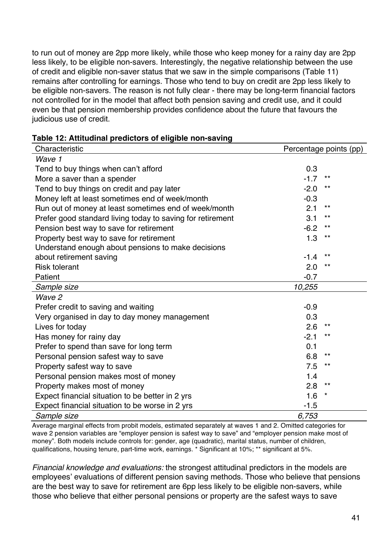to run out of money are 2pp more likely, while those who keep money for a rainy day are 2pp less likely, to be eligible non-savers. Interestingly, the negative relationship between the use of credit and eligible non-saver status that we saw in the simple comparisons (Table 11) remains after controlling for earnings. Those who tend to buy on credit are 2pp less likely to be eligible non-savers. The reason is not fully clear - there may be long-term financial factors not controlled for in the model that affect both pension saving and credit use, and it could even be that pension membership provides confidence about the future that favours the judicious use of credit.

| Table 12: Attitudinal predictors of eligible non-saving |  |  |  |
|---------------------------------------------------------|--|--|--|
|---------------------------------------------------------|--|--|--|

| Characteristic                                             | Percentage points (pp) |
|------------------------------------------------------------|------------------------|
| Wave 1                                                     |                        |
| Tend to buy things when can't afford                       | 0.3                    |
| More a saver than a spender                                | $-1.7$<br>**           |
| Tend to buy things on credit and pay later                 | $-2.0$<br>$***$        |
| Money left at least sometimes end of week/month            | $-0.3$                 |
| Run out of money at least sometimes end of week/month      | 2.1<br>$***$           |
| Prefer good standard living today to saving for retirement | 3.1<br>**              |
| Pension best way to save for retirement                    | $-6.2$<br>$***$        |
| Property best way to save for retirement                   | 1.3<br>**              |
| Understand enough about pensions to make decisions         |                        |
| about retirement saving                                    | $***$<br>$-1.4$        |
| <b>Risk tolerant</b>                                       | 2.0<br>$***$           |
| Patient                                                    | $-0.7$                 |
| Sample size                                                | 10,255                 |
| Wave 2                                                     |                        |
| Prefer credit to saving and waiting                        | $-0.9$                 |
| Very organised in day to day money management              | 0.3                    |
| Lives for today                                            | 2.6<br>$***$           |
| Has money for rainy day                                    | $-2.1$<br>**           |
| Prefer to spend than save for long term                    | 0.1                    |
| Personal pension safest way to save                        | 6.8<br>**              |
| Property safest way to save                                | 7.5<br>**              |
| Personal pension makes most of money                       | 1.4                    |
| Property makes most of money                               | 2.8<br>$^{\star\star}$ |
| Expect financial situation to be better in 2 yrs           | 1.6<br>*               |
| Expect financial situation to be worse in 2 yrs            | $-1.5$                 |
| Sample size                                                | 6,753                  |

Average marginal effects from probit models, estimated separately at waves 1 and 2. Omitted categories for wave 2 pension variables are "employer pension is safest way to save" and "employer pension make most of money". Both models include controls for: gender, age (quadratic), marital status, number of children, qualifications, housing tenure, part-time work, earnings. \* Significant at 10%; \*\* significant at 5%.

*Financial knowledge and evaluations:* the strongest attitudinal predictors in the models are employees' evaluations of different pension saving methods. Those who believe that pensions are the best way to save for retirement are 6pp less likely to be eligible non-savers, while those who believe that either personal pensions or property are the safest ways to save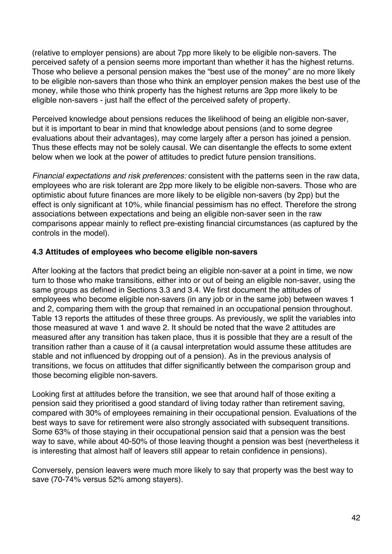(relative to employer pensions) are about 7pp more likely to be eligible non-savers. The perceived safety of a pension seems more important than whether it has the highest returns. Those who believe a personal pension makes the "best use of the money" are no more likely to be eligible non-savers than those who think an employer pension makes the best use of the money, while those who think property has the highest returns are 3pp more likely to be eligible non-savers - just half the effect of the perceived safety of property.

Perceived knowledge about pensions reduces the likelihood of being an eligible non-saver, but it is important to bear in mind that knowledge about pensions (and to some degree evaluations about their advantages), may come largely after a person has joined a pension. Thus these effects may not be solely causal. We can disentangle the effects to some extent below when we look at the power of attitudes to predict future pension transitions.

*Financial expectations and risk preferences:* consistent with the patterns seen in the raw data, employees who are risk tolerant are 2pp more likely to be eligible non-savers. Those who are optimistic about future finances are more likely to be eligible non-savers (by 2pp) but the effect is only significant at 10%, while financial pessimism has no effect. Therefore the strong associations between expectations and being an eligible non-saver seen in the raw comparisons appear mainly to reflect pre-existing financial circumstances (as captured by the controls in the model).

#### **4.3 Attitudes of employees who become eligible non-savers**

After looking at the factors that predict being an eligible non-saver at a point in time, we now turn to those who make transitions, either into or out of being an eligible non-saver, using the same groups as defined in Sections 3.3 and 3.4. We first document the attitudes of employees who become eligible non-savers (in any job or in the same job) between waves 1 and 2, comparing them with the group that remained in an occupational pension throughout. Table 13 reports the attitudes of these three groups. As previously, we split the variables into those measured at wave 1 and wave 2. It should be noted that the wave 2 attitudes are measured after any transition has taken place, thus it is possible that they are a result of the transition rather than a cause of it (a causal interpretation would assume these attitudes are stable and not influenced by dropping out of a pension). As in the previous analysis of transitions, we focus on attitudes that differ significantly between the comparison group and those becoming eligible non-savers.

Looking first at attitudes before the transition, we see that around half of those exiting a pension said they prioritised a good standard of living today rather than retirement saving, compared with 30% of employees remaining in their occupational pension. Evaluations of the best ways to save for retirement were also strongly associated with subsequent transitions. Some 63% of those staying in their occupational pension said that a pension was the best way to save, while about 40-50% of those leaving thought a pension was best (nevertheless it is interesting that almost half of leavers still appear to retain confidence in pensions).

Conversely, pension leavers were much more likely to say that property was the best way to save (70-74% versus 52% among stayers).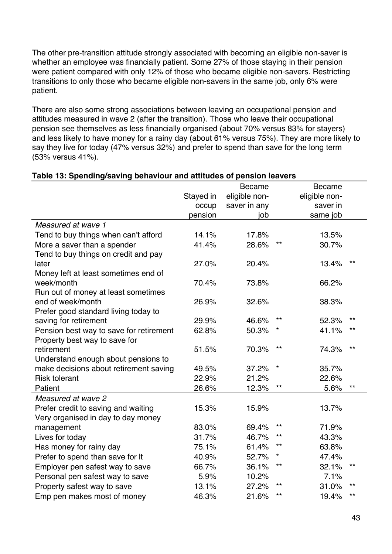The other pre-transition attitude strongly associated with becoming an eligible non-saver is whether an employee was financially patient. Some 27% of those staying in their pension were patient compared with only 12% of those who became eligible non-savers. Restricting transitions to only those who became eligible non-savers in the same job, only 6% were patient.

There are also some strong associations between leaving an occupational pension and attitudes measured in wave 2 (after the transition). Those who leave their occupational pension see themselves as less financially organised (about 70% versus 83% for stayers) and less likely to have money for a rainy day (about 61% versus 75%). They are more likely to say they live for today (47% versus 32%) and prefer to spend than save for the long term (53% versus 41%).

#### **Table 13: Spending/saving behaviour and attitudes of pension leavers**  Stayed in Became eligible non-Became eligible non-

|                                         | Stayed in | eligible non- |              | eligible non- |                 |
|-----------------------------------------|-----------|---------------|--------------|---------------|-----------------|
|                                         | occup     | saver in any  |              | saver in      |                 |
|                                         | pension   | job           |              | same job      |                 |
| Measured at wave 1                      |           |               |              |               |                 |
| Tend to buy things when can't afford    | 14.1%     | 17.8%         |              | 13.5%         |                 |
| More a saver than a spender             | 41.4%     | 28.6%         | $***$        | 30.7%         |                 |
| Tend to buy things on credit and pay    |           |               |              |               |                 |
| later                                   | 27.0%     | 20.4%         |              | 13.4%         | $***$           |
| Money left at least sometimes end of    |           |               |              |               |                 |
| week/month                              | 70.4%     | 73.8%         |              | 66.2%         |                 |
| Run out of money at least sometimes     |           |               |              |               |                 |
| end of week/month                       | 26.9%     | 32.6%         |              | 38.3%         |                 |
| Prefer good standard living today to    |           |               |              |               |                 |
| saving for retirement                   | 29.9%     | 46.6%         | $\star\star$ | 52.3%         | $^{\star\star}$ |
| Pension best way to save for retirement | 62.8%     | 50.3%         |              | 41.1%         | $***$           |
| Property best way to save for           |           |               |              |               |                 |
| retirement                              | 51.5%     | 70.3%         | $***$        | 74.3%         | $***$           |
| Understand enough about pensions to     |           |               |              |               |                 |
| make decisions about retirement saving  | 49.5%     | 37.2%         | $^{\star}$   | 35.7%         |                 |
| <b>Risk tolerant</b>                    | 22.9%     | 21.2%         |              | 22.6%         |                 |
| Patient                                 | 26.6%     | 12.3%         | $***$        | 5.6%          | $***$           |
| Measured at wave 2                      |           |               |              |               |                 |
| Prefer credit to saving and waiting     | 15.3%     | 15.9%         |              | 13.7%         |                 |
| Very organised in day to day money      |           |               |              |               |                 |
| management                              | 83.0%     | 69.4%         | $***$        | 71.9%         |                 |
| Lives for today                         | 31.7%     | 46.7%         | **           | 43.3%         |                 |
| Has money for rainy day                 | 75.1%     | 61.4%         | $\star\star$ | 63.8%         |                 |
| Prefer to spend than save for It        | 40.9%     | 52.7%         | *            | 47.4%         |                 |
| Employer pen safest way to save         | 66.7%     | 36.1%         | **           | 32.1%         | **              |
| Personal pen safest way to save         | 5.9%      | 10.2%         |              | 7.1%          |                 |
| Property safest way to save             | 13.1%     | 27.2%         | **           | 31.0%         | **              |
| Emp pen makes most of money             | 46.3%     | 21.6%         | $\star\star$ | 19.4%         | $***$           |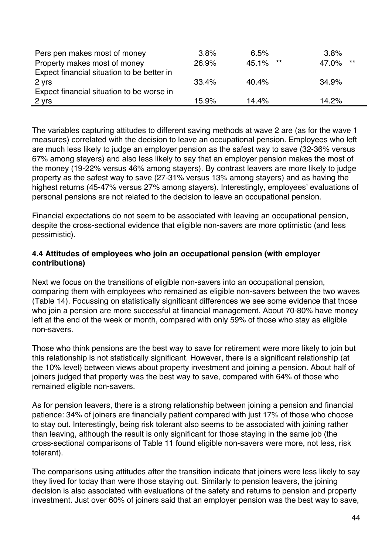| Pers pen makes most of money               | 3.8%  | 6.5%        | 3.8%           |
|--------------------------------------------|-------|-------------|----------------|
| Property makes most of money               | 26.9% | **<br>45.1% | $***$<br>47.0% |
| Expect financial situation to be better in |       |             |                |
| 2 yrs                                      | 33.4% | 40.4%       | 34.9%          |
| Expect financial situation to be worse in  |       |             |                |
| 2 yrs                                      | 15.9% | 14 4%       | 14.2%          |

The variables capturing attitudes to different saving methods at wave 2 are (as for the wave 1 measures) correlated with the decision to leave an occupational pension. Employees who left are much less likely to judge an employer pension as the safest way to save (32-36% versus 67% among stayers) and also less likely to say that an employer pension makes the most of the money (19-22% versus 46% among stayers). By contrast leavers are more likely to judge property as the safest way to save (27-31% versus 13% among stayers) and as having the highest returns (45-47% versus 27% among stayers). Interestingly, employees' evaluations of personal pensions are not related to the decision to leave an occupational pension.

Financial expectations do not seem to be associated with leaving an occupational pension, despite the cross-sectional evidence that eligible non-savers are more optimistic (and less pessimistic).

#### **4.4 Attitudes of employees who join an occupational pension (with employer contributions)**

Next we focus on the transitions of eligible non-savers into an occupational pension, comparing them with employees who remained as eligible non-savers between the two waves (Table 14). Focussing on statistically significant differences we see some evidence that those who join a pension are more successful at financial management. About 70-80% have money left at the end of the week or month, compared with only 59% of those who stay as eligible non-savers.

Those who think pensions are the best way to save for retirement were more likely to join but this relationship is not statistically significant. However, there is a significant relationship (at the 10% level) between views about property investment and joining a pension. About half of joiners judged that property was the best way to save, compared with 64% of those who remained eligible non-savers.

As for pension leavers, there is a strong relationship between joining a pension and financial patience: 34% of joiners are financially patient compared with just 17% of those who choose to stay out. Interestingly, being risk tolerant also seems to be associated with joining rather than leaving, although the result is only significant for those staying in the same job (the cross-sectional comparisons of Table 11 found eligible non-savers were more, not less, risk tolerant).

The comparisons using attitudes after the transition indicate that joiners were less likely to say they lived for today than were those staying out. Similarly to pension leavers, the joining decision is also associated with evaluations of the safety and returns to pension and property investment. Just over 60% of joiners said that an employer pension was the best way to save,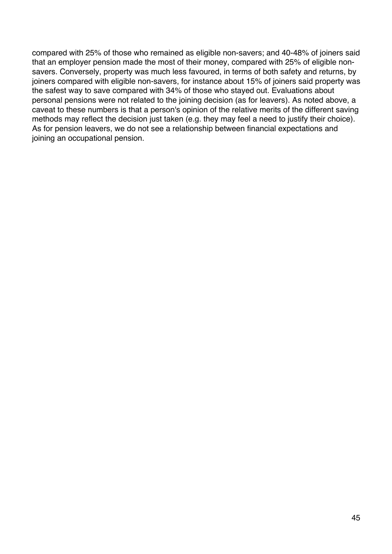compared with 25% of those who remained as eligible non-savers; and 40-48% of joiners said that an employer pension made the most of their money, compared with 25% of eligible nonsavers. Conversely, property was much less favoured, in terms of both safety and returns, by joiners compared with eligible non-savers, for instance about 15% of joiners said property was the safest way to save compared with 34% of those who stayed out. Evaluations about personal pensions were not related to the joining decision (as for leavers). As noted above, a caveat to these numbers is that a person's opinion of the relative merits of the different saving methods may reflect the decision just taken (e.g. they may feel a need to justify their choice). As for pension leavers, we do not see a relationship between financial expectations and joining an occupational pension.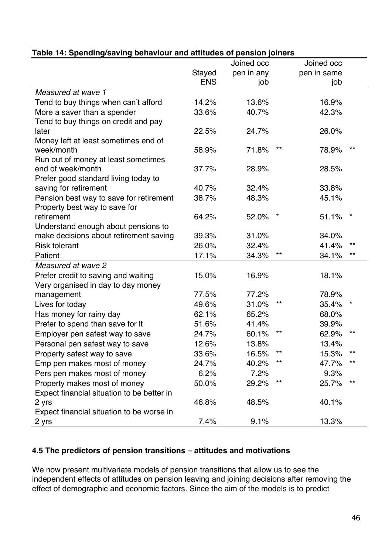|                                            |            | ponoion joinulo<br>Joined occ |              | Joined occ  |                 |
|--------------------------------------------|------------|-------------------------------|--------------|-------------|-----------------|
|                                            | Stayed     | pen in any                    |              | pen in same |                 |
|                                            | <b>ENS</b> | job                           |              | job         |                 |
| Measured at wave 1                         |            |                               |              |             |                 |
| Tend to buy things when can't afford       | 14.2%      | 13.6%                         |              | 16.9%       |                 |
| More a saver than a spender                | 33.6%      | 40.7%                         |              | 42.3%       |                 |
| Tend to buy things on credit and pay       |            |                               |              |             |                 |
| later                                      | 22.5%      | 24.7%                         |              | 26.0%       |                 |
| Money left at least sometimes end of       |            |                               |              |             |                 |
| week/month                                 | 58.9%      | 71.8%                         | **           | 78.9%       | $^{\star\star}$ |
| Run out of money at least sometimes        |            |                               |              |             |                 |
| end of week/month                          | 37.7%      | 28.9%                         |              | 28.5%       |                 |
| Prefer good standard living today to       |            |                               |              |             |                 |
| saving for retirement                      | 40.7%      | 32.4%                         |              | 33.8%       |                 |
| Pension best way to save for retirement    | 38.7%      | 48.3%                         |              | 45.1%       |                 |
| Property best way to save for              |            |                               |              |             |                 |
| retirement                                 | 64.2%      | 52.0%                         |              | 51.1%       | *               |
| Understand enough about pensions to        |            |                               |              |             |                 |
| make decisions about retirement saving     | 39.3%      | 31.0%                         |              | 34.0%       |                 |
| <b>Risk tolerant</b>                       | 26.0%      | 32.4%                         |              | 41.4%       | **              |
| Patient                                    | 17.1%      | 34.3%                         | $\star\star$ | 34.1%       | **              |
| Measured at wave 2                         |            |                               |              |             |                 |
| Prefer credit to saving and waiting        | 15.0%      | 16.9%                         |              | 18.1%       |                 |
| Very organised in day to day money         |            |                               |              |             |                 |
| management                                 | 77.5%      | 77.2%                         |              | 78.9%       |                 |
| Lives for today                            | 49.6%      | 31.0%                         | $***$        | 35.4%       |                 |
| Has money for rainy day                    | 62.1%      | 65.2%                         |              | 68.0%       |                 |
| Prefer to spend than save for It           | 51.6%      | 41.4%                         |              | 39.9%       |                 |
| Employer pen safest way to save            | 24.7%      | 60.1%                         | **           | 62.9%       | **              |
| Personal pen safest way to save            | 12.6%      | 13.8%                         |              | 13.4%       |                 |
| Property safest way to save                | 33.6%      | 16.5%                         | $***$        | 15.3%       | $***$           |
| Emp pen makes most of money                | 24.7%      | 40.2%                         | **           | 47.7%       | **              |
| Pers pen makes most of money               | 6.2%       | 7.2%                          |              | 9.3%        |                 |
| Property makes most of money               | 50.0%      | 29.2%                         | **           | 25.7%       | **              |
| Expect financial situation to be better in |            |                               |              |             |                 |
| 2 yrs                                      | 46.8%      | 48.5%                         |              | 40.1%       |                 |
| Expect financial situation to be worse in  |            |                               |              |             |                 |
| 2 yrs                                      | 7.4%       | 9.1%                          |              | 13.3%       |                 |

#### **Table 14: Spending/saving behaviour and attitudes of pension joiners**

#### **4.5 The predictors of pension transitions – attitudes and motivations**

We now present multivariate models of pension transitions that allow us to see the independent effects of attitudes on pension leaving and joining decisions after removing the effect of demographic and economic factors. Since the aim of the models is to predict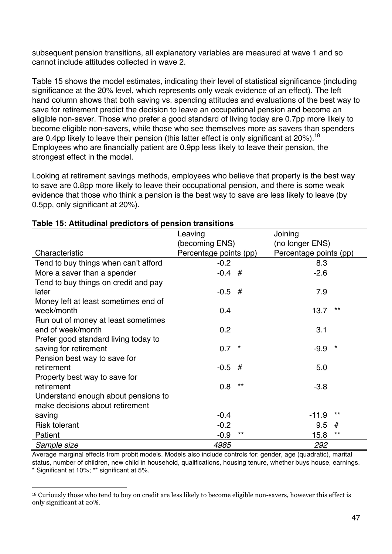subsequent pension transitions, all explanatory variables are measured at wave 1 and so cannot include attitudes collected in wave 2.

Table 15 shows the model estimates, indicating their level of statistical significance (including significance at the 20% level, which represents only weak evidence of an effect). The left hand column shows that both saving vs. spending attitudes and evaluations of the best way to save for retirement predict the decision to leave an occupational pension and become an eligible non-saver. Those who prefer a good standard of living today are 0.7pp more likely to become eligible non-savers, while those who see themselves more as savers than spenders are 0.4pp likely to leave their pension (this latter effect is only significant at  $20\%$ ).<sup>18</sup> Employees who are financially patient are 0.9pp less likely to leave their pension, the strongest effect in the model.

Looking at retirement savings methods, employees who believe that property is the best way to save are 0.8pp more likely to leave their occupational pension, and there is some weak evidence that those who think a pension is the best way to save are less likely to leave (by 0.5pp, only significant at 20%).

|                                      | Leaving                |         | Joining                |                 |
|--------------------------------------|------------------------|---------|------------------------|-----------------|
|                                      | (becoming ENS)         |         | (no longer ENS)        |                 |
| Characteristic                       | Percentage points (pp) |         | Percentage points (pp) |                 |
| Tend to buy things when can't afford | $-0.2$                 |         | 8.3                    |                 |
| More a saver than a spender          | $-0.4$ #               |         | $-2.6$                 |                 |
| Tend to buy things on credit and pay |                        |         |                        |                 |
| later                                | $-0.5$ #               |         | 7.9                    |                 |
| Money left at least sometimes end of |                        |         |                        |                 |
| week/month                           | 0.4                    |         | 13.7                   | $***$           |
| Run out of money at least sometimes  |                        |         |                        |                 |
| end of week/month                    | 0.2                    |         | 3.1                    |                 |
| Prefer good standard living today to |                        |         |                        |                 |
| saving for retirement                | 0.7                    | $\star$ | $-9.9$                 | $^\star$        |
| Pension best way to save for         |                        |         |                        |                 |
| retirement                           | $-0.5$                 | #       | 5.0                    |                 |
| Property best way to save for        |                        |         |                        |                 |
| retirement                           | 0.8                    | $***$   | $-3.8$                 |                 |
| Understand enough about pensions to  |                        |         |                        |                 |
| make decisions about retirement      |                        |         |                        |                 |
| saving                               | $-0.4$                 |         | $-11.9$                | $***$           |
| <b>Risk tolerant</b>                 | $-0.2$                 |         | 9.5                    | #               |
| Patient                              | $-0.9$                 | $***$   | 15.8                   | $^{\star\star}$ |
| Sample size                          | 4985                   |         | 292                    |                 |

#### **Table 15: Attitudinal predictors of pension transitions**

!!!!!!!!!!!!!!!!!!!!!!!!!!!!!!!!!!!!!!!!!!!!!!!!!!!!!!!!!!!!

Average marginal effects from probit models. Models also include controls for: gender, age (quadratic), marital status, number of children, new child in household, qualifications, housing tenure, whether buys house, earnings. \* Significant at 10%; \*\* significant at 5%.

<sup>18</sup> Curiously those who tend to buy on credit are less likely to become eligible non-savers, however this effect is only significant at 20%.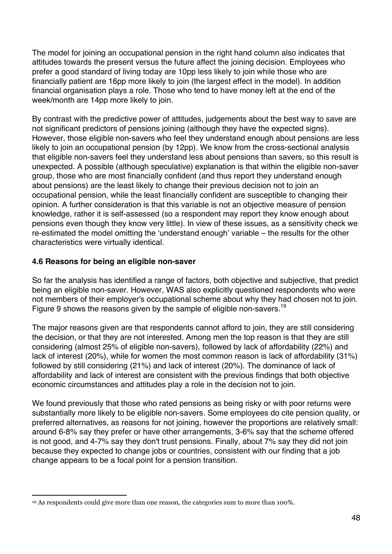The model for joining an occupational pension in the right hand column also indicates that attitudes towards the present versus the future affect the joining decision. Employees who prefer a good standard of living today are 10pp less likely to join while those who are financially patient are 16pp more likely to join (the largest effect in the model). In addition financial organisation plays a role. Those who tend to have money left at the end of the week/month are 14pp more likely to join.

By contrast with the predictive power of attitudes, judgements about the best way to save are not significant predictors of pensions joining (although they have the expected signs). However, those eligible non-savers who feel they understand enough about pensions are less likely to join an occupational pension (by 12pp). We know from the cross-sectional analysis that eligible non-savers feel they understand less about pensions than savers, so this result is unexpected. A possible (although speculative) explanation is that within the eligible non-saver group, those who are most financially confident (and thus report they understand enough about pensions) are the least likely to change their previous decision not to join an occupational pension, while the least financially confident are susceptible to changing their opinion. A further consideration is that this variable is not an objective measure of pension knowledge, rather it is self-assessed (so a respondent may report they know enough about pensions even though they know very little). In view of these issues, as a sensitivity check we re-estimated the model omitting the 'understand enough' variable – the results for the other characteristics were virtually identical.

#### **4.6 Reasons for being an eligible non-saver**

So far the analysis has identified a range of factors, both objective and subjective, that predict being an eligible non-saver. However, WAS also explicitly questioned respondents who were not members of their employer's occupational scheme about why they had chosen not to join. Figure 9 shows the reasons given by the sample of eligible non-savers.<sup>19</sup>

The major reasons given are that respondents cannot afford to join, they are still considering the decision, or that they are not interested. Among men the top reason is that they are still considering (almost 25% of eligible non-savers), followed by lack of affordability (22%) and lack of interest (20%), while for women the most common reason is lack of affordability (31%) followed by still considering (21%) and lack of interest (20%). The dominance of lack of affordability and lack of interest are consistent with the previous findings that both objective economic circumstances and attitudes play a role in the decision not to join.

We found previously that those who rated pensions as being risky or with poor returns were substantially more likely to be eligible non-savers. Some employees do cite pension quality, or preferred alternatives, as reasons for not joining, however the proportions are relatively small: around 6-8% say they prefer or have other arrangements, 3-6% say that the scheme offered is not good, and 4-7% say they don't trust pensions. Finally, about 7% say they did not join because they expected to change jobs or countries, consistent with our finding that a job change appears to be a focal point for a pension transition.

<sup>!!!!!!!!!!!!!!!!!!!!!!!!!!!!!!!!!!!!!!!!!!!!!!!!!!!!!!!!!!!!</sup> <sup>19</sup> As respondents could give more than one reason, the categories sum to more than 100%.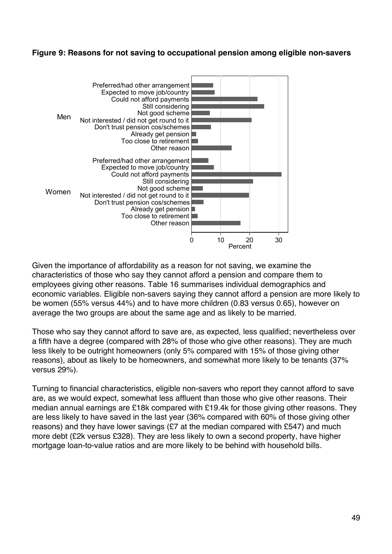#### **Figure 9: Reasons for not saving to occupational pension among eligible non-savers**



Given the importance of affordability as a reason for not saving, we examine the characteristics of those who say they cannot afford a pension and compare them to employees giving other reasons. Table 16 summarises individual demographics and economic variables. Eligible non-savers saying they cannot afford a pension are more likely to be women (55% versus 44%) and to have more children (0.83 versus 0.65), however on average the two groups are about the same age and as likely to be married.

Those who say they cannot afford to save are, as expected, less qualified; nevertheless over a fifth have a degree (compared with 28% of those who give other reasons). They are much less likely to be outright homeowners (only 5% compared with 15% of those giving other reasons), about as likely to be homeowners, and somewhat more likely to be tenants (37% versus 29%).

Turning to financial characteristics, eligible non-savers who report they cannot afford to save are, as we would expect, somewhat less affluent than those who give other reasons. Their median annual earnings are £18k compared with £19.4k for those giving other reasons. They are less likely to have saved in the last year (36% compared with 60% of those giving other reasons) and they have lower savings (£7 at the median compared with £547) and much more debt (£2k versus £328). They are less likely to own a second property, have higher mortgage loan-to-value ratios and are more likely to be behind with household bills.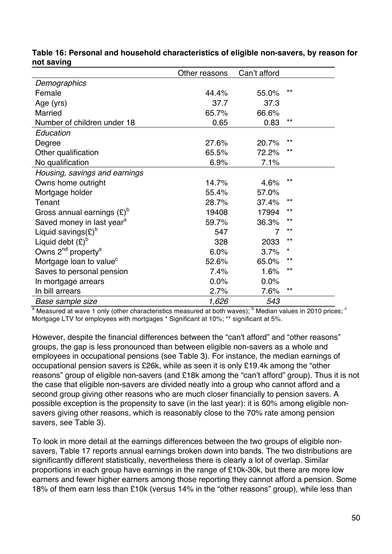|                                            | Other reasons | Can't afford |       |
|--------------------------------------------|---------------|--------------|-------|
| Demographics                               |               |              |       |
| Female                                     | 44.4%         | 55.0%        | $***$ |
| Age (yrs)                                  | 37.7          | 37.3         |       |
| <b>Married</b>                             | 65.7%         | 66.6%        |       |
| Number of children under 18                | 0.65          | 0.83         | $***$ |
| Education                                  |               |              |       |
| Degree                                     | 27.6%         | 20.7%        | $***$ |
| Other qualification                        | 65.5%         | 72.2%        | $***$ |
| No qualification                           | 6.9%          | 7.1%         |       |
| Housing, savings and earnings              |               |              |       |
| Owns home outright                         | 14.7%         | 4.6%         | $***$ |
| Mortgage holder                            | 55.4%         | 57.0%        |       |
| Tenant                                     | 28.7%         | 37.4%        | $***$ |
| Gross annual earnings $(E)^{D}$            | 19408         | 17994        | $***$ |
| Saved money in last year <sup>a</sup>      | 59.7%         | 36.3%        | $***$ |
| Liquid savings(£) <sup>b</sup>             | 547           |              | $***$ |
| Liquid debt $(E)^b$                        | 328           | 2033         | $***$ |
| Owns 2 <sup>nd</sup> property <sup>a</sup> | 6.0%          | 3.7%         | *     |
| Mortgage loan to value <sup>c</sup>        | 52.6%         | 65.0%        | $***$ |
| Saves to personal pension                  | 7.4%          | 1.6%         | $***$ |
| In mortgage arrears                        | 0.0%          | 0.0%         |       |
| In bill arrears                            | 2.7%          | 7.6%         | $***$ |
| Base sample size                           | 1,626         | 543          |       |

**Table 16: Personal and household characteristics of eligible non-savers, by reason for not saving**

 $a$  Measured at wave 1 only (other characteristics measured at both waves);  $b$  Median values in 2010 prices;  $c$ Mortgage LTV for employees with mortgages \* Significant at 10%; \*\* significant at 5%.

However, despite the financial differences between the "can't afford" and "other reasons" groups, the gap is less pronounced than between eligible non-savers as a whole and employees in occupational pensions (see Table 3). For instance, the median earnings of occupational pension savers is £26k, while as seen it is only £19.4k among the "other reasons" group of eligible non-savers (and £18k among the "can't afford" group). Thus it is not the case that eligible non-savers are divided neatly into a group who cannot afford and a second group giving other reasons who are much closer financially to pension savers. A possible exception is the propensity to save (in the last year): it is 60% among eligible nonsavers giving other reasons, which is reasonably close to the 70% rate among pension savers, see Table 3).

To look in more detail at the earnings differences between the two groups of eligible nonsavers, Table 17 reports annual earnings broken down into bands. The two distributions are significantly different statistically, nevertheless there is clearly a lot of overlap. Similar proportions in each group have earnings in the range of £10k-30k, but there are more low earners and fewer higher earners among those reporting they cannot afford a pension. Some 18% of them earn less than £10k (versus 14% in the "other reasons" group), while less than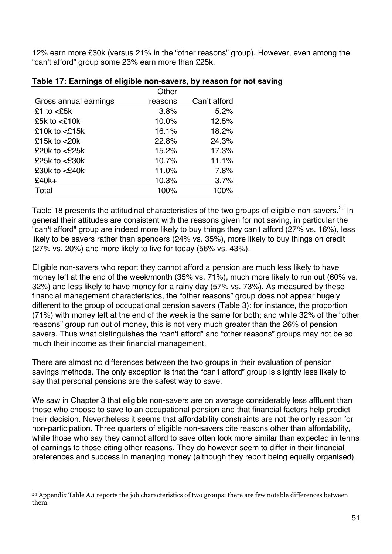12% earn more £30k (versus 21% in the "other reasons" group). However, even among the "can't afford" group some 23% earn more than £25k.

|                           | Other   |              |
|---------------------------|---------|--------------|
| Gross annual earnings     | reasons | Can't afford |
| £1 to $<$ £5 $k$          | 3.8%    | 5.2%         |
| £5k to $<$ £10k           | 10.0%   | 12.5%        |
| £10 $k$ to $\leq$ 15 $k$  | 16.1%   | 18.2%        |
| £15 $k$ to $<$ 20 $k$     | 22.8%   | 24.3%        |
| £20 $k$ to $\leq$ 25 $k$  | 15.2%   | 17.3%        |
| £25k to $<$ £30k          | 10.7%   | 11.1%        |
| £30 $k$ to $\leq$ 240 $k$ | 11.0%   | 7.8%         |
| $£40k+$                   | 10.3%   | 3.7%         |
| Total                     | 100%    | 100%         |

#### **Table 17: Earnings of eligible non-savers, by reason for not saving**

Table 18 presents the attitudinal characteristics of the two groups of eligible non-savers.<sup>20</sup> In general their attitudes are consistent with the reasons given for not saving, in particular the "can't afford" group are indeed more likely to buy things they can't afford (27% vs. 16%), less likely to be savers rather than spenders (24% vs. 35%), more likely to buy things on credit (27% vs. 20%) and more likely to live for today (56% vs. 43%).

Eligible non-savers who report they cannot afford a pension are much less likely to have money left at the end of the week/month (35% vs. 71%), much more likely to run out (60% vs. 32%) and less likely to have money for a rainy day (57% vs. 73%). As measured by these financial management characteristics, the "other reasons" group does not appear hugely different to the group of occupational pension savers (Table 3): for instance, the proportion (71%) with money left at the end of the week is the same for both; and while 32% of the "other reasons" group run out of money, this is not very much greater than the 26% of pension savers. Thus what distinguishes the "can't afford" and "other reasons" groups may not be so much their income as their financial management.

There are almost no differences between the two groups in their evaluation of pension savings methods. The only exception is that the "can't afford" group is slightly less likely to say that personal pensions are the safest way to save.

We saw in Chapter 3 that eligible non-savers are on average considerably less affluent than those who choose to save to an occupational pension and that financial factors help predict their decision. Nevertheless it seems that affordability constraints are not the only reason for non-participation. Three quarters of eligible non-savers cite reasons other than affordability, while those who say they cannot afford to save often look more similar than expected in terms of earnings to those citing other reasons. They do however seem to differ in their financial preferences and success in managing money (although they report being equally organised).

!!!!!!!!!!!!!!!!!!!!!!!!!!!!!!!!!!!!!!!!!!!!!!!!!!!!!!!!!!!!

<sup>20</sup> Appendix Table A.1 reports the job characteristics of two groups; there are few notable differences between them.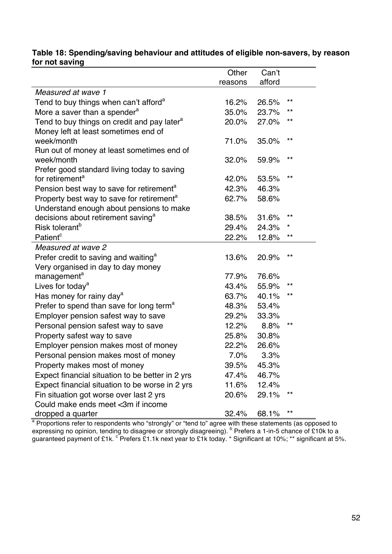#### **Table 18: Spending/saving behaviour and attitudes of eligible non-savers, by reason for not saving**

|                                                         | Other   | Can't  |              |
|---------------------------------------------------------|---------|--------|--------------|
|                                                         | reasons | afford |              |
| Measured at wave 1                                      |         |        |              |
| Tend to buy things when can't afford <sup>a</sup>       | 16.2%   | 26.5%  | $***$        |
| More a saver than a spender <sup>a</sup>                | 35.0%   | 23.7%  | $***$        |
| Tend to buy things on credit and pay later <sup>a</sup> | 20.0%   | 27.0%  | $\star\star$ |
| Money left at least sometimes end of                    |         |        |              |
| week/month                                              | 71.0%   | 35.0%  | $***$        |
| Run out of money at least sometimes end of              |         |        |              |
| week/month                                              | 32.0%   | 59.9%  | $***$        |
| Prefer good standard living today to saving             |         |        |              |
| for retirement <sup>a</sup>                             | 42.0%   | 53.5%  | $***$        |
| Pension best way to save for retirement <sup>a</sup>    | 42.3%   | 46.3%  |              |
| Property best way to save for retirement <sup>a</sup>   | 62.7%   | 58.6%  |              |
| Understand enough about pensions to make                |         |        |              |
| decisions about retirement saving <sup>a</sup>          | 38.5%   | 31.6%  | $***$        |
| Risk tolerant <sup>b</sup>                              | 29.4%   | 24.3%  | $^\star$     |
| Patient <sup>c</sup>                                    | 22.2%   | 12.8%  | $\star\star$ |
| Measured at wave 2                                      |         |        |              |
| Prefer credit to saving and waiting <sup>a</sup>        | 13.6%   | 20.9%  | $***$        |
| Very organised in day to day money                      |         |        |              |
| management <sup>a</sup>                                 | 77.9%   | 76.6%  |              |
| Lives for today <sup>a</sup>                            | 43.4%   | 55.9%  | $***$        |
| Has money for rainy day <sup>a</sup>                    | 63.7%   | 40.1%  | **           |
| Prefer to spend than save for long term <sup>a</sup>    | 48.3%   | 53.4%  |              |
| Employer pension safest way to save                     | 29.2%   | 33.3%  |              |
| Personal pension safest way to save                     | 12.2%   | 8.8%   | $***$        |
| Property safest way to save                             | 25.8%   | 30.8%  |              |
| Employer pension makes most of money                    | 22.2%   | 26.6%  |              |
| Personal pension makes most of money                    | 7.0%    | 3.3%   |              |
| Property makes most of money                            | 39.5%   | 45.3%  |              |
| Expect financial situation to be better in 2 yrs        | 47.4%   | 46.7%  |              |
| Expect financial situation to be worse in 2 yrs         | 11.6%   | 12.4%  |              |
| Fin situation got worse over last 2 yrs                 | 20.6%   | 29.1%  | **           |
| Could make ends meet <3m if income                      |         |        |              |
| dropped a quarter                                       | 32.4%   | 68.1%  | $\star\star$ |

<sup>a</sup> Proportions refer to respondents who "strongly" or "tend to" agree with these statements (as opposed to expressing no opinion, tending to disagree or strongly disagreeing). <sup>b</sup> Prefers a 1-in-5 chance of £10k to a guaranteed payment of £1k. <sup>c</sup> Prefers £1.1k next year to £1k today. \* Significant at 10%; \*\* significant at 5%.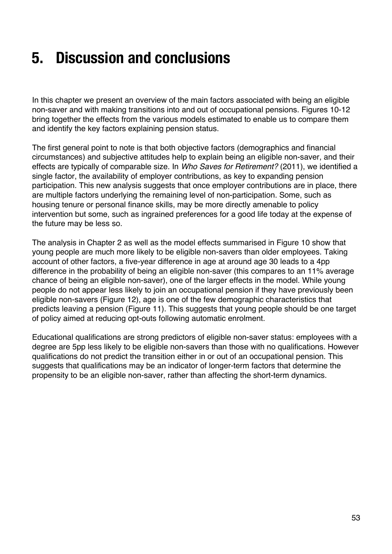### **5. Discussion and conclusions**

In this chapter we present an overview of the main factors associated with being an eligible non-saver and with making transitions into and out of occupational pensions. Figures 10-12 bring together the effects from the various models estimated to enable us to compare them and identify the key factors explaining pension status.

The first general point to note is that both objective factors (demographics and financial circumstances) and subjective attitudes help to explain being an eligible non-saver, and their effects are typically of comparable size. In *Who Saves for Retirement?* (2011), we identified a single factor, the availability of employer contributions, as key to expanding pension participation. This new analysis suggests that once employer contributions are in place, there are multiple factors underlying the remaining level of non-participation. Some, such as housing tenure or personal finance skills, may be more directly amenable to policy intervention but some, such as ingrained preferences for a good life today at the expense of the future may be less so.

The analysis in Chapter 2 as well as the model effects summarised in Figure 10 show that young people are much more likely to be eligible non-savers than older employees. Taking account of other factors, a five-year difference in age at around age 30 leads to a 4pp difference in the probability of being an eligible non-saver (this compares to an 11% average chance of being an eligible non-saver), one of the larger effects in the model. While young people do not appear less likely to join an occupational pension if they have previously been eligible non-savers (Figure 12), age is one of the few demographic characteristics that predicts leaving a pension (Figure 11). This suggests that young people should be one target of policy aimed at reducing opt-outs following automatic enrolment.

Educational qualifications are strong predictors of eligible non-saver status: employees with a degree are 5pp less likely to be eligible non-savers than those with no qualifications. However qualifications do not predict the transition either in or out of an occupational pension. This suggests that qualifications may be an indicator of longer-term factors that determine the propensity to be an eligible non-saver, rather than affecting the short-term dynamics.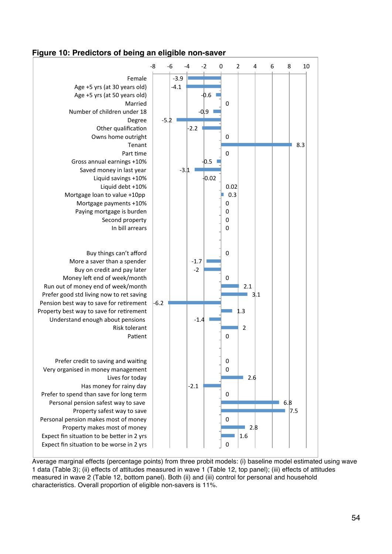#### **Figure 10: Predictors of being an eligible non-saver**



Average marginal effects (percentage points) from three probit models: (i) baseline model estimated using wave 1 data (Table 3); (ii) effects of attitudes measured in wave 1 (Table 12, top panel); (iii) effects of attitudes measured in wave 2 (Table 12, bottom panel). Both (ii) and (iii) control for personal and household characteristics. Overall proportion of eligible non-savers is 11%.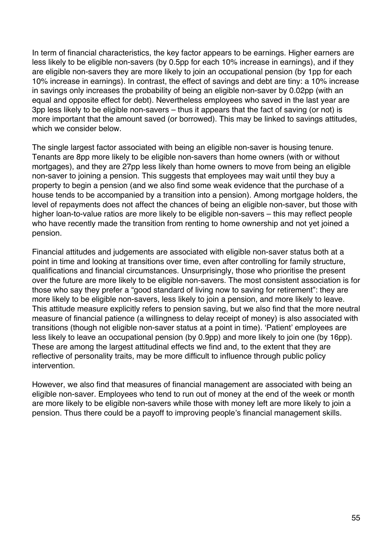In term of financial characteristics, the key factor appears to be earnings. Higher earners are less likely to be eligible non-savers (by 0.5pp for each 10% increase in earnings), and if they are eligible non-savers they are more likely to join an occupational pension (by 1pp for each 10% increase in earnings). In contrast, the effect of savings and debt are tiny: a 10% increase in savings only increases the probability of being an eligible non-saver by 0.02pp (with an equal and opposite effect for debt). Nevertheless employees who saved in the last year are 3pp less likely to be eligible non-savers – thus it appears that the fact of saving (or not) is more important that the amount saved (or borrowed). This may be linked to savings attitudes, which we consider below.

The single largest factor associated with being an eligible non-saver is housing tenure. Tenants are 8pp more likely to be eligible non-savers than home owners (with or without mortgages), and they are 27pp less likely than home owners to move from being an eligible non-saver to joining a pension. This suggests that employees may wait until they buy a property to begin a pension (and we also find some weak evidence that the purchase of a house tends to be accompanied by a transition into a pension). Among mortgage holders, the level of repayments does not affect the chances of being an eligible non-saver, but those with higher loan-to-value ratios are more likely to be eligible non-savers – this may reflect people who have recently made the transition from renting to home ownership and not yet joined a pension.

Financial attitudes and judgements are associated with eligible non-saver status both at a point in time and looking at transitions over time, even after controlling for family structure, qualifications and financial circumstances. Unsurprisingly, those who prioritise the present over the future are more likely to be eligible non-savers. The most consistent association is for those who say they prefer a "good standard of living now to saving for retirement": they are more likely to be eligible non-savers, less likely to join a pension, and more likely to leave. This attitude measure explicitly refers to pension saving, but we also find that the more neutral measure of financial patience (a willingness to delay receipt of money) is also associated with transitions (though not eligible non-saver status at a point in time). 'Patient' employees are less likely to leave an occupational pension (by 0.9pp) and more likely to join one (by 16pp). These are among the largest attitudinal effects we find and, to the extent that they are reflective of personality traits, may be more difficult to influence through public policy intervention.

However, we also find that measures of financial management are associated with being an eligible non-saver. Employees who tend to run out of money at the end of the week or month are more likely to be eligible non-savers while those with money left are more likely to join a pension. Thus there could be a payoff to improving people's financial management skills.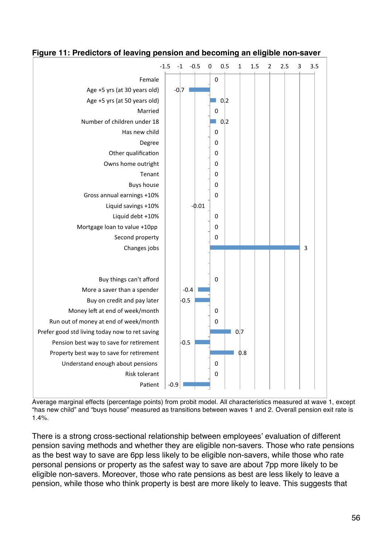

#### **Figure 11: Predictors of leaving pension and becoming an eligible non-saver**

Average marginal effects (percentage points) from probit model. All characteristics measured at wave 1, except "has new child" and "buys house" measured as transitions between waves 1 and 2. Overall pension exit rate is 1.4%.

There is a strong cross-sectional relationship between employees' evaluation of different pension saving methods and whether they are eligible non-savers. Those who rate pensions as the best way to save are 6pp less likely to be eligible non-savers, while those who rate personal pensions or property as the safest way to save are about 7pp more likely to be eligible non-savers. Moreover, those who rate pensions as best are less likely to leave a pension, while those who think property is best are more likely to leave. This suggests that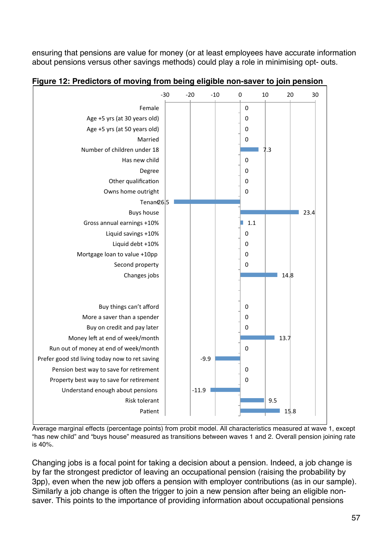ensuring that pensions are value for money (or at least employees have accurate information about pensions versus other savings methods) could play a role in minimising opt- outs.



**Figure 12: Predictors of moving from being eligible non-saver to join pension**

Average marginal effects (percentage points) from probit model. All characteristics measured at wave 1, except "has new child" and "buys house" measured as transitions between waves 1 and 2. Overall pension joining rate is 40%.

Changing jobs is a focal point for taking a decision about a pension. Indeed, a job change is by far the strongest predictor of leaving an occupational pension (raising the probability by 3pp), even when the new job offers a pension with employer contributions (as in our sample). Similarly a job change is often the trigger to join a new pension after being an eligible nonsaver. This points to the importance of providing information about occupational pensions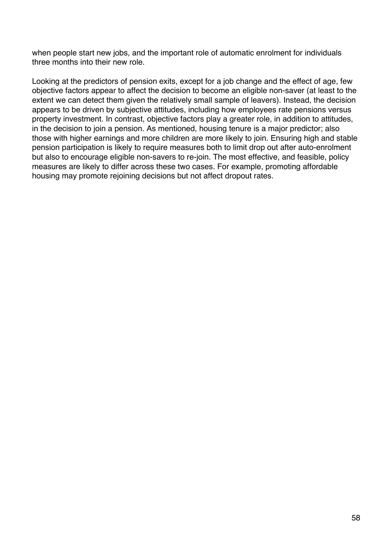when people start new jobs, and the important role of automatic enrolment for individuals three months into their new role.

Looking at the predictors of pension exits, except for a job change and the effect of age, few objective factors appear to affect the decision to become an eligible non-saver (at least to the extent we can detect them given the relatively small sample of leavers). Instead, the decision appears to be driven by subjective attitudes, including how employees rate pensions versus property investment. In contrast, objective factors play a greater role, in addition to attitudes, in the decision to join a pension. As mentioned, housing tenure is a major predictor; also those with higher earnings and more children are more likely to join. Ensuring high and stable pension participation is likely to require measures both to limit drop out after auto-enrolment but also to encourage eligible non-savers to re-join. The most effective, and feasible, policy measures are likely to differ across these two cases. For example, promoting affordable housing may promote rejoining decisions but not affect dropout rates.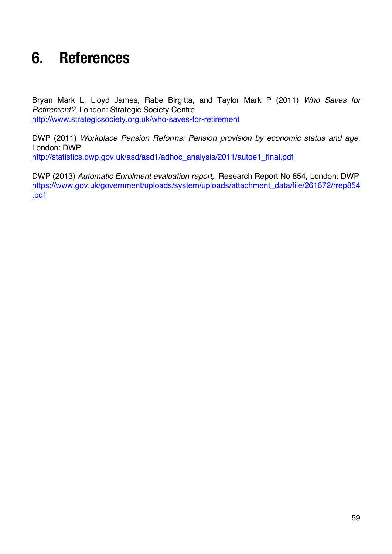### **6. References**

Bryan Mark L, Lloyd James, Rabe Birgitta, and Taylor Mark P (2011) *Who Saves for Retirement?*, London: Strategic Society Centre http://www.strategicsociety.org.uk/who-saves-for-retirement

DWP (2011) *Workplace Pension Reforms: Pension provision by economic status and age*, London: DWP http://statistics.dwp.gov.uk/asd/asd1/adhoc\_analysis/2011/autoe1\_final.pdf

DWP (2013) *Automatic Enrolment evaluation report,* Research Report No 854, London: DWP https://www.gov.uk/government/uploads/system/uploads/attachment\_data/file/261672/rrep854 .pdf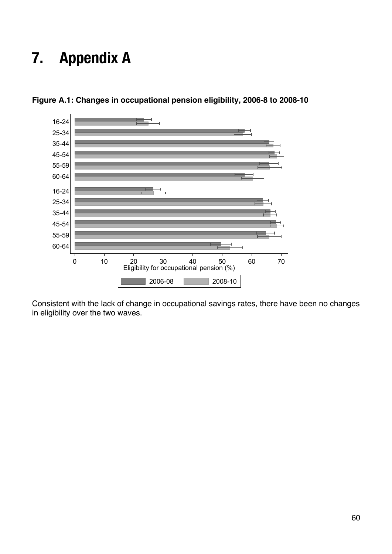### **7. Appendix A**



**Figure A.1: Changes in occupational pension eligibility, 2006-8 to 2008-10**

Consistent with the lack of change in occupational savings rates, there have been no changes in eligibility over the two waves.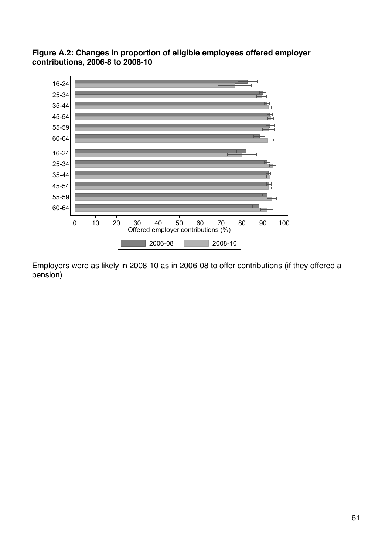

**Figure A.2: Changes in proportion of eligible employees offered employer contributions, 2006-8 to 2008-10**

Employers were as likely in 2008-10 as in 2006-08 to offer contributions (if they offered a pension)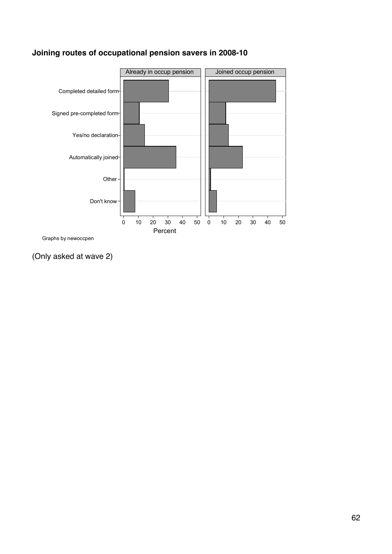

#### **Joining routes of occupational pension savers in 2008-10**

Graphs by newoccpen

(Only asked at wave 2)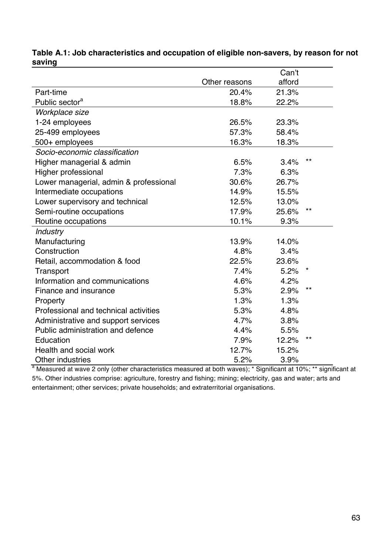|                                        |               | Can't  |       |
|----------------------------------------|---------------|--------|-------|
|                                        | Other reasons | afford |       |
| Part-time                              | 20.4%         | 21.3%  |       |
| Public sector <sup>a</sup>             | 18.8%         | 22.2%  |       |
| Workplace size                         |               |        |       |
| 1-24 employees                         | 26.5%         | 23.3%  |       |
| 25-499 employees                       | 57.3%         | 58.4%  |       |
| 500+ employees                         | 16.3%         | 18.3%  |       |
| Socio-economic classification          |               |        |       |
| Higher managerial & admin              | 6.5%          | 3.4%   | $***$ |
| Higher professional                    | 7.3%          | 6.3%   |       |
| Lower managerial, admin & professional | 30.6%         | 26.7%  |       |
| Intermediate occupations               | 14.9%         | 15.5%  |       |
| Lower supervisory and technical        | 12.5%         | 13.0%  |       |
| Semi-routine occupations               | 17.9%         | 25.6%  | $***$ |
| Routine occupations                    | 10.1%         | 9.3%   |       |
| <b>Industry</b>                        |               |        |       |
| Manufacturing                          | 13.9%         | 14.0%  |       |
| Construction                           | 4.8%          | 3.4%   |       |
| Retail, accommodation & food           | 22.5%         | 23.6%  |       |
| Transport                              | 7.4%          | 5.2%   | *     |
| Information and communications         | 4.6%          | 4.2%   |       |
| Finance and insurance                  | 5.3%          | 2.9%   | $***$ |
| Property                               | 1.3%          | 1.3%   |       |
| Professional and technical activities  | 5.3%          | 4.8%   |       |
| Administrative and support services    | 4.7%          | 3.8%   |       |
| Public administration and defence      | 4.4%          | 5.5%   |       |
| Education                              | 7.9%          | 12.2%  | **    |
| Health and social work                 | 12.7%         | 15.2%  |       |
| Other industries                       | 5.2%          | 3.9%   |       |

#### **Table A.1: Job characteristics and occupation of eligible non-savers, by reason for not saving**

<sup>a</sup> Measured at wave 2 only (other characteristics measured at both waves); \* Significant at 10%; \*\* significant at 5%. Other industries comprise: agriculture, forestry and fishing; mining; electricity, gas and water; arts and entertainment; other services; private households; and extraterritorial organisations.